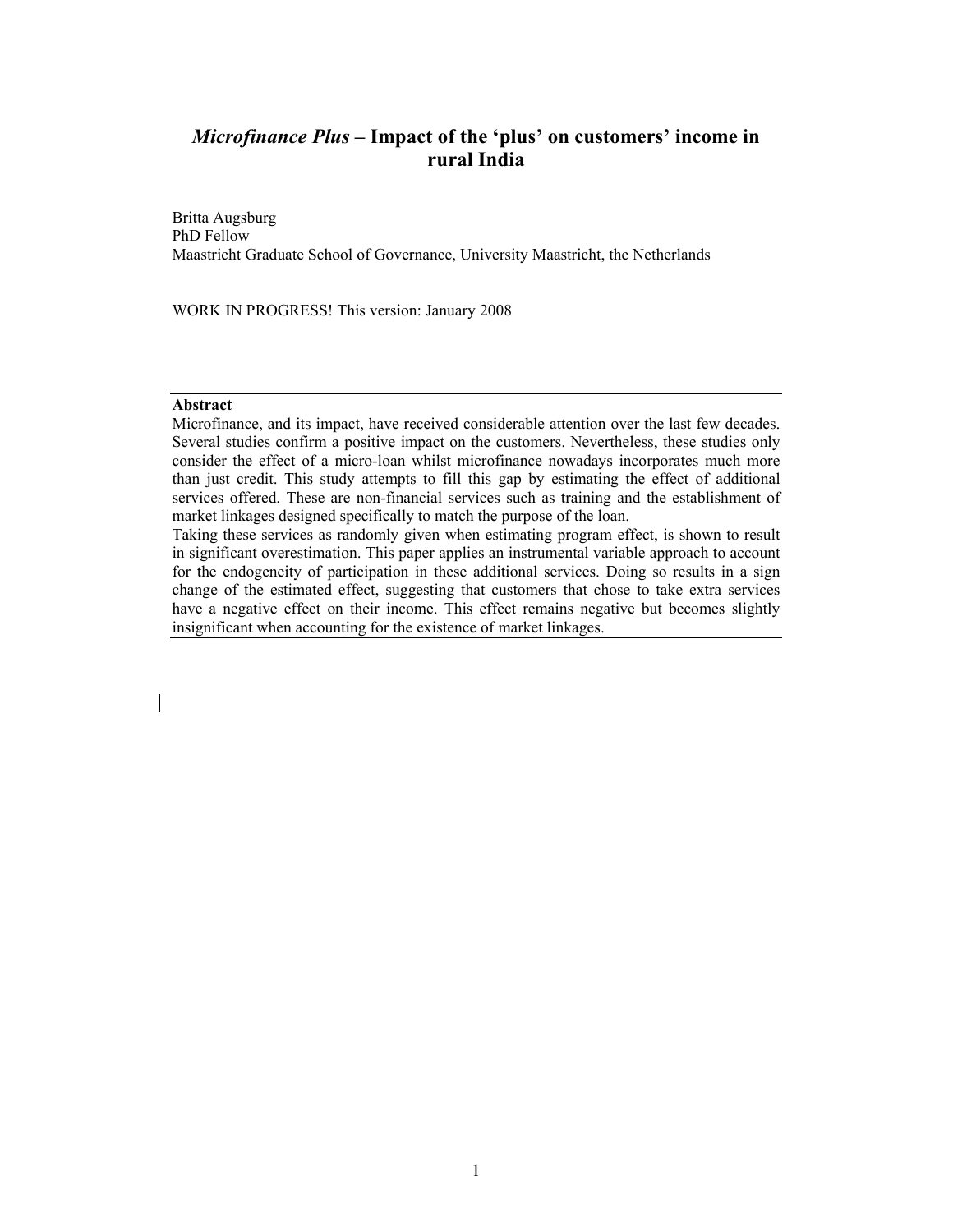# *Microfinance Plus* **– Impact of the 'plus' on customers' income in rural India**

Britta Augsburg PhD Fellow Maastricht Graduate School of Governance, University Maastricht, the Netherlands

WORK IN PROGRESS! This version: January 2008

## **Abstract**

Microfinance, and its impact, have received considerable attention over the last few decades. Several studies confirm a positive impact on the customers. Nevertheless, these studies only consider the effect of a micro-loan whilst microfinance nowadays incorporates much more than just credit. This study attempts to fill this gap by estimating the effect of additional services offered. These are non-financial services such as training and the establishment of market linkages designed specifically to match the purpose of the loan.

Taking these services as randomly given when estimating program effect, is shown to result in significant overestimation. This paper applies an instrumental variable approach to account for the endogeneity of participation in these additional services. Doing so results in a sign change of the estimated effect, suggesting that customers that chose to take extra services have a negative effect on their income. This effect remains negative but becomes slightly insignificant when accounting for the existence of market linkages.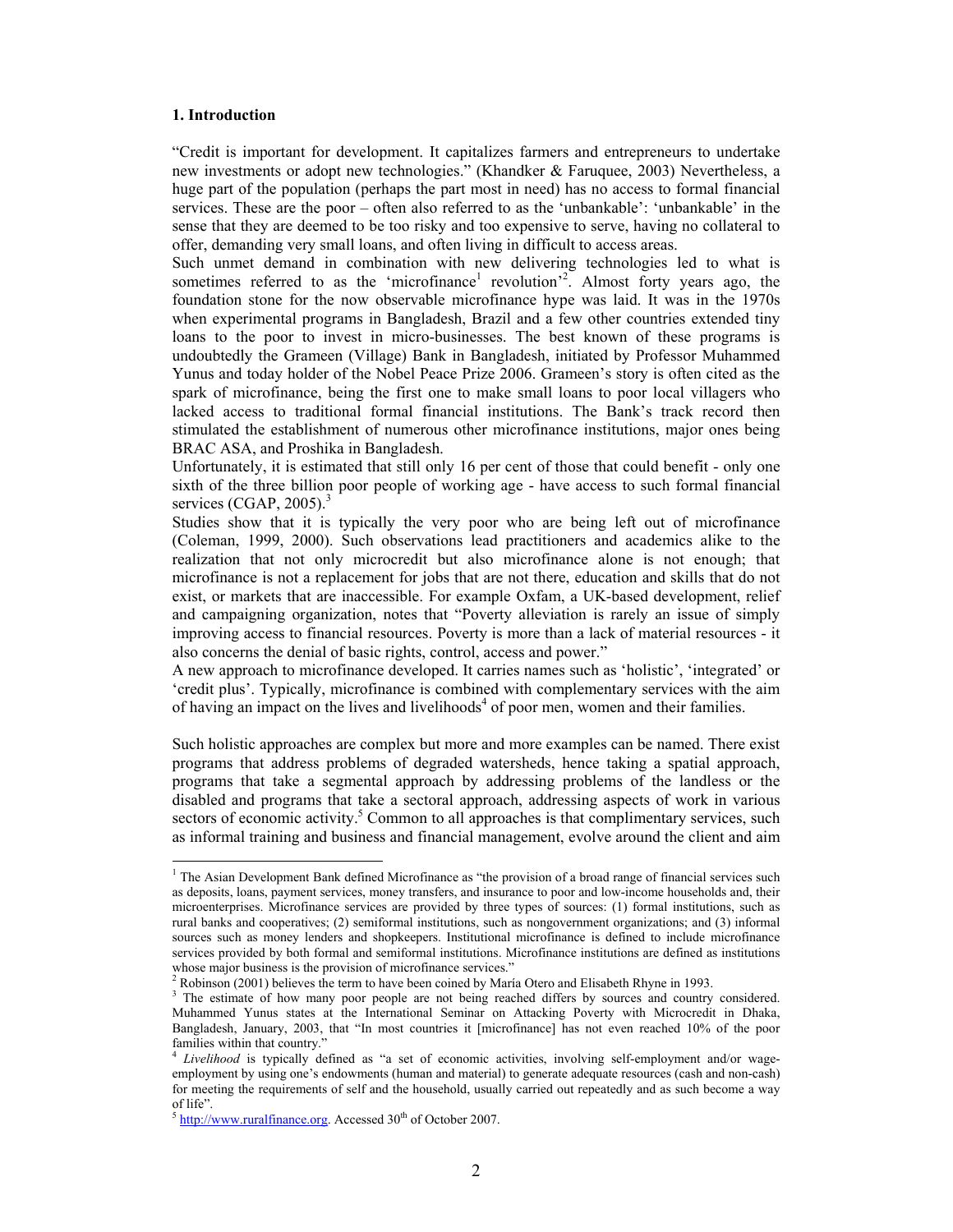#### **1. Introduction**

"Credit is important for development. It capitalizes farmers and entrepreneurs to undertake new investments or adopt new technologies." (Khandker & Faruquee, 2003) Nevertheless, a huge part of the population (perhaps the part most in need) has no access to formal financial services. These are the poor – often also referred to as the 'unbankable': 'unbankable' in the sense that they are deemed to be too risky and too expensive to serve, having no collateral to offer, demanding very small loans, and often living in difficult to access areas.

Such unmet demand in combination with new delivering technologies led to what is sometimes referred to as the 'microfinance<sup>1</sup> revolution<sup>2</sup>. Almost forty years ago, the foundation stone for the now observable microfinance hype was laid. It was in the 1970s when experimental programs in Bangladesh, Brazil and a few other countries extended tiny loans to the poor to invest in micro-businesses. The best known of these programs is undoubtedly the Grameen (Village) Bank in Bangladesh, initiated by Professor Muhammed Yunus and today holder of the Nobel Peace Prize 2006. Grameen's story is often cited as the spark of microfinance, being the first one to make small loans to poor local villagers who lacked access to traditional formal financial institutions. The Bank's track record then stimulated the establishment of numerous other microfinance institutions, major ones being BRAC ASA, and Proshika in Bangladesh.

Unfortunately, it is estimated that still only 16 per cent of those that could benefit - only one sixth of the three billion poor people of working age - have access to such formal financial services (CGAP,  $2005$ ).<sup>3</sup>

Studies show that it is typically the very poor who are being left out of microfinance (Coleman, 1999, 2000). Such observations lead practitioners and academics alike to the realization that not only microcredit but also microfinance alone is not enough; that microfinance is not a replacement for jobs that are not there, education and skills that do not exist, or markets that are inaccessible. For example Oxfam, a UK-based development, relief and campaigning organization, notes that "Poverty alleviation is rarely an issue of simply improving access to financial resources. Poverty is more than a lack of material resources - it also concerns the denial of basic rights, control, access and power."

A new approach to microfinance developed. It carries names such as 'holistic', 'integrated' or 'credit plus'. Typically, microfinance is combined with complementary services with the aim of having an impact on the lives and livelihoods<sup>4</sup> of poor men, women and their families.

Such holistic approaches are complex but more and more examples can be named. There exist programs that address problems of degraded watersheds, hence taking a spatial approach, programs that take a segmental approach by addressing problems of the landless or the disabled and programs that take a sectoral approach, addressing aspects of work in various sectors of economic activity.<sup>5</sup> Common to all approaches is that complimentary services, such as informal training and business and financial management, evolve around the client and aim

<sup>&</sup>lt;sup>1</sup> The Asian Development Bank defined Microfinance as "the provision of a broad range of financial services such as deposits, loans, payment services, money transfers, and insurance to poor and low-income households and, their microenterprises. Microfinance services are provided by three types of sources: (1) formal institutions, such as rural banks and cooperatives; (2) semiformal institutions, such as nongovernment organizations; and (3) informal sources such as money lenders and shopkeepers. Institutional microfinance is defined to include microfinance services provided by both formal and semiformal institutions. Microfinance institutions are defined as institutions whose major business is the provision of microfinance services."

 $2^2$  Robinson (2001) believes the term to have been coined by María Otero and Elisabeth Rhyne in 1993.

<sup>&</sup>lt;sup>3</sup> The estimate of how many poor people are not being reached differs by sources and country considered. Muhammed Yunus states at the International Seminar on Attacking Poverty with Microcredit in Dhaka, Bangladesh, January, 2003, that "In most countries it [microfinance] has not even reached 10% of the poor families within that country.'

*Livelihood* is typically defined as "a set of economic activities, involving self-employment and/or wageemployment by using one's endowments (human and material) to generate adequate resources (cash and non-cash) for meeting the requirements of self and the household, usually carried out repeatedly and as such become a way of life".

 $5$  http://www.ruralfinance.org. Accessed 30<sup>th</sup> of October 2007.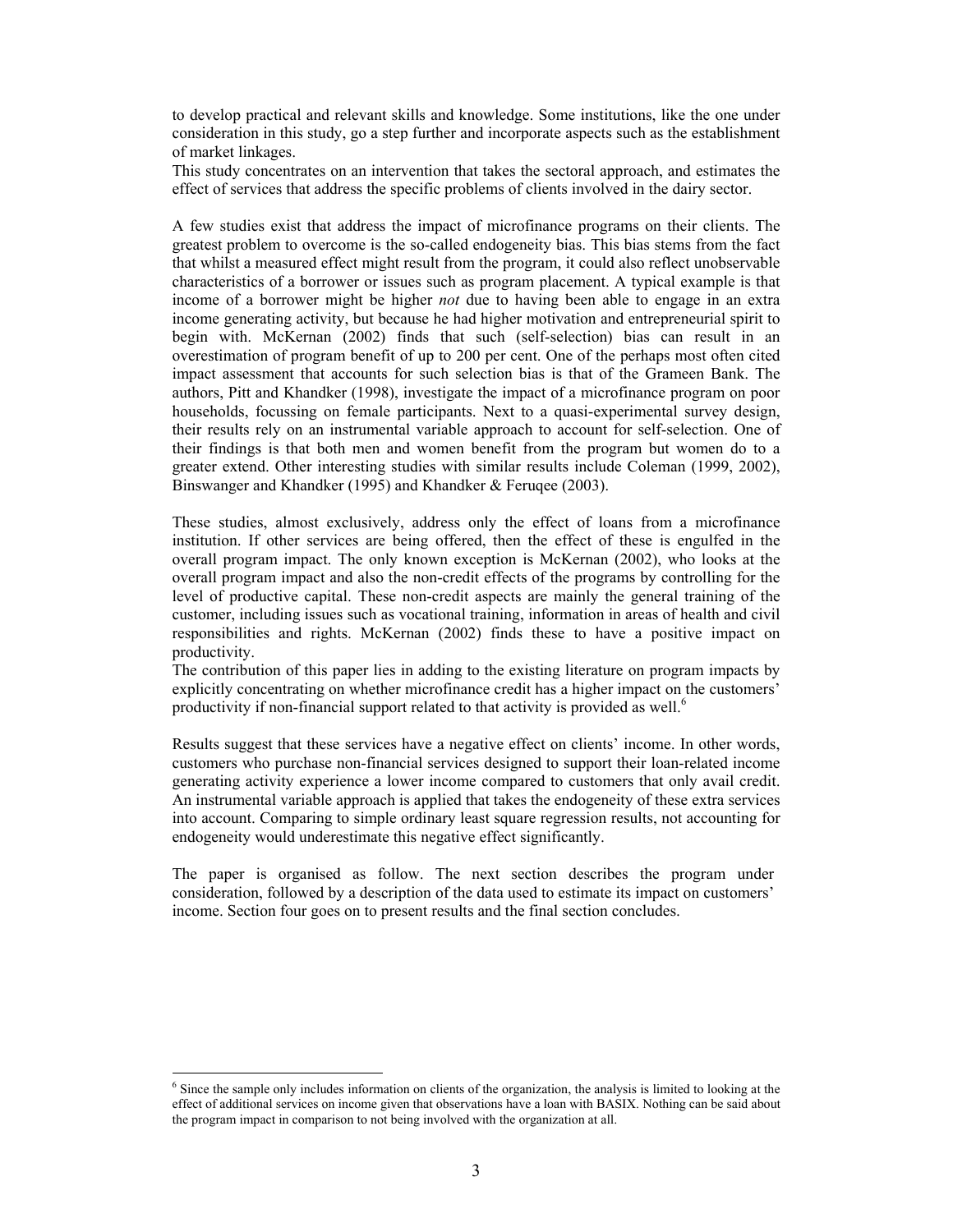to develop practical and relevant skills and knowledge. Some institutions, like the one under consideration in this study, go a step further and incorporate aspects such as the establishment of market linkages.

This study concentrates on an intervention that takes the sectoral approach, and estimates the effect of services that address the specific problems of clients involved in the dairy sector.

A few studies exist that address the impact of microfinance programs on their clients. The greatest problem to overcome is the so-called endogeneity bias. This bias stems from the fact that whilst a measured effect might result from the program, it could also reflect unobservable characteristics of a borrower or issues such as program placement. A typical example is that income of a borrower might be higher *not* due to having been able to engage in an extra income generating activity, but because he had higher motivation and entrepreneurial spirit to begin with. McKernan (2002) finds that such (self-selection) bias can result in an overestimation of program benefit of up to 200 per cent. One of the perhaps most often cited impact assessment that accounts for such selection bias is that of the Grameen Bank. The authors, Pitt and Khandker (1998), investigate the impact of a microfinance program on poor households, focussing on female participants. Next to a quasi-experimental survey design, their results rely on an instrumental variable approach to account for self-selection. One of their findings is that both men and women benefit from the program but women do to a greater extend. Other interesting studies with similar results include Coleman (1999, 2002), Binswanger and Khandker (1995) and Khandker & Feruqee (2003).

These studies, almost exclusively, address only the effect of loans from a microfinance institution. If other services are being offered, then the effect of these is engulfed in the overall program impact. The only known exception is McKernan (2002), who looks at the overall program impact and also the non-credit effects of the programs by controlling for the level of productive capital. These non-credit aspects are mainly the general training of the customer, including issues such as vocational training, information in areas of health and civil responsibilities and rights. McKernan (2002) finds these to have a positive impact on productivity.

The contribution of this paper lies in adding to the existing literature on program impacts by explicitly concentrating on whether microfinance credit has a higher impact on the customers' productivity if non-financial support related to that activity is provided as well.<sup>6</sup>

Results suggest that these services have a negative effect on clients' income. In other words, customers who purchase non-financial services designed to support their loan-related income generating activity experience a lower income compared to customers that only avail credit. An instrumental variable approach is applied that takes the endogeneity of these extra services into account. Comparing to simple ordinary least square regression results, not accounting for endogeneity would underestimate this negative effect significantly.

The paper is organised as follow. The next section describes the program under consideration, followed by a description of the data used to estimate its impact on customers' income. Section four goes on to present results and the final section concludes.

 6 Since the sample only includes information on clients of the organization, the analysis is limited to looking at the effect of additional services on income given that observations have a loan with BASIX. Nothing can be said about the program impact in comparison to not being involved with the organization at all.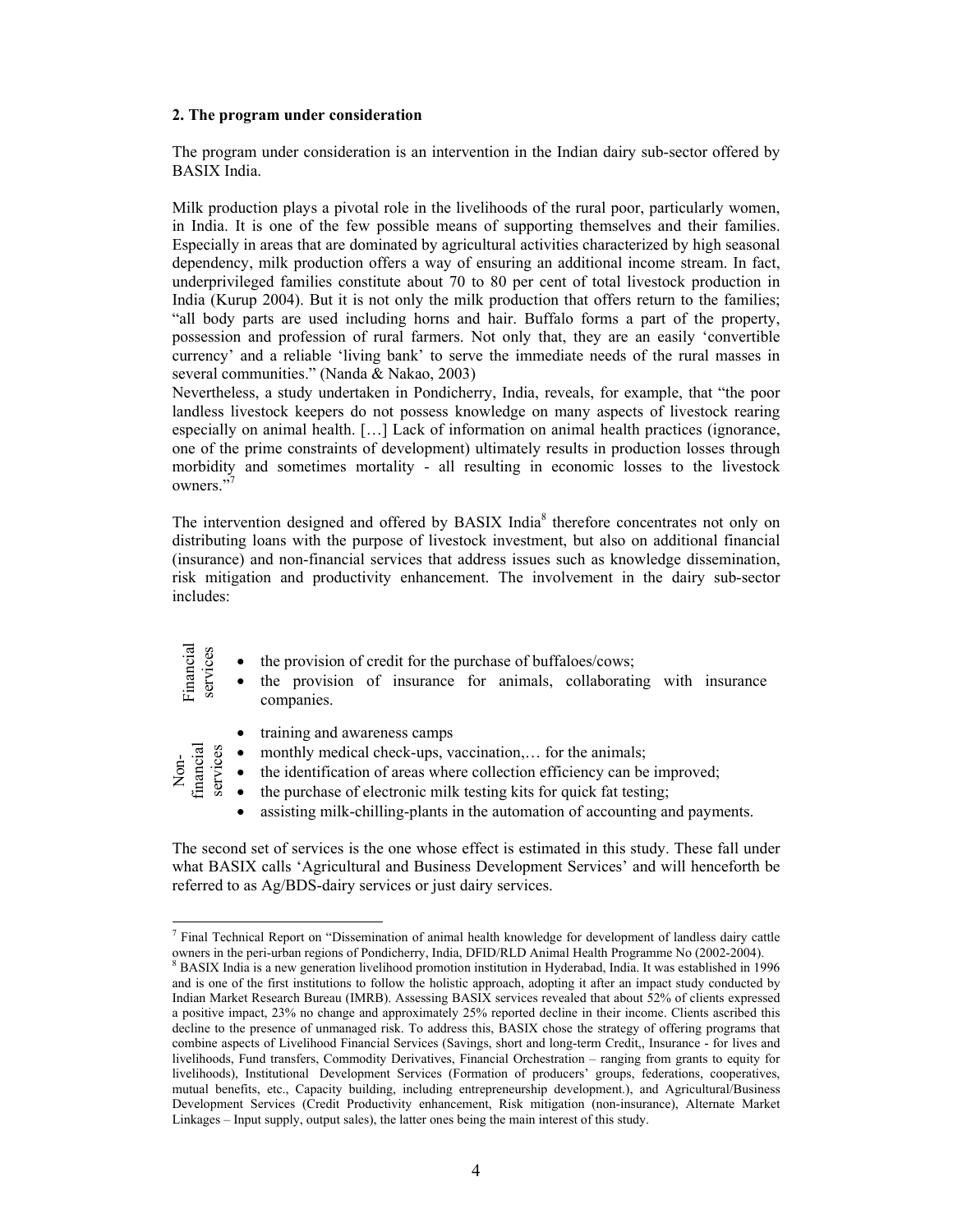## **2. The program under consideration**

The program under consideration is an intervention in the Indian dairy sub-sector offered by BASIX India.

Milk production plays a pivotal role in the livelihoods of the rural poor, particularly women, in India. It is one of the few possible means of supporting themselves and their families. Especially in areas that are dominated by agricultural activities characterized by high seasonal dependency, milk production offers a way of ensuring an additional income stream. In fact, underprivileged families constitute about 70 to 80 per cent of total livestock production in India (Kurup 2004). But it is not only the milk production that offers return to the families; "all body parts are used including horns and hair. Buffalo forms a part of the property, possession and profession of rural farmers. Not only that, they are an easily 'convertible currency' and a reliable 'living bank' to serve the immediate needs of the rural masses in several communities." (Nanda & Nakao, 2003)

Nevertheless, a study undertaken in Pondicherry, India, reveals, for example, that "the poor landless livestock keepers do not possess knowledge on many aspects of livestock rearing especially on animal health. […] Lack of information on animal health practices (ignorance, one of the prime constraints of development) ultimately results in production losses through morbidity and sometimes mortality - all resulting in economic losses to the livestock owners."

The intervention designed and offered by BASIX India<sup>8</sup> therefore concentrates not only on distributing loans with the purpose of livestock investment, but also on additional financial (insurance) and non-financial services that address issues such as knowledge dissemination, risk mitigation and productivity enhancement. The involvement in the dairy sub-sector includes:

| Financial<br>services                      | the provision of credit for the purchase of buffaloes/cows;<br>$\bullet$<br>the provision of insurance for animals, collaborating with insurance<br>$\bullet$<br>companies.                                                                                                        |
|--------------------------------------------|------------------------------------------------------------------------------------------------------------------------------------------------------------------------------------------------------------------------------------------------------------------------------------|
| Non-<br>financial<br>services<br>$\bullet$ | training and awareness camps<br>$\bullet$<br>monthly medical check-ups, vaccination, for the animals;<br>$\bullet$<br>the identification of areas where collection efficiency can be improved;<br>the purchase of electronic milk testing kits for quick fat testing;<br>$\bullet$ |

• assisting milk-chilling-plants in the automation of accounting and payments.

The second set of services is the one whose effect is estimated in this study. These fall under what BASIX calls 'Agricultural and Business Development Services' and will henceforth be referred to as Ag/BDS-dairy services or just dairy services.

 $\overline{a}$ <sup>7</sup> Final Technical Report on "Dissemination of animal health knowledge for development of landless dairy cattle owners in the peri-urban regions of Pondicherry, India, DFID/RLD Animal Health Programme No (2002-2004). 8

<sup>&</sup>lt;sup>8</sup> BASIX India is a new generation livelihood promotion institution in Hyderabad, India. It was established in 1996 and is one of the first institutions to follow the holistic approach, adopting it after an impact study conducted by Indian Market Research Bureau (IMRB). Assessing BASIX services revealed that about 52% of clients expressed a positive impact, 23% no change and approximately 25% reported decline in their income. Clients ascribed this decline to the presence of unmanaged risk. To address this, BASIX chose the strategy of offering programs that combine aspects of Livelihood Financial Services (Savings, short and long-term Credit,, Insurance - for lives and livelihoods, Fund transfers, Commodity Derivatives, Financial Orchestration – ranging from grants to equity for livelihoods), Institutional Development Services (Formation of producers' groups, federations, cooperatives, mutual benefits, etc., Capacity building, including entrepreneurship development.), and Agricultural/Business Development Services (Credit Productivity enhancement, Risk mitigation (non-insurance), Alternate Market Linkages – Input supply, output sales), the latter ones being the main interest of this study.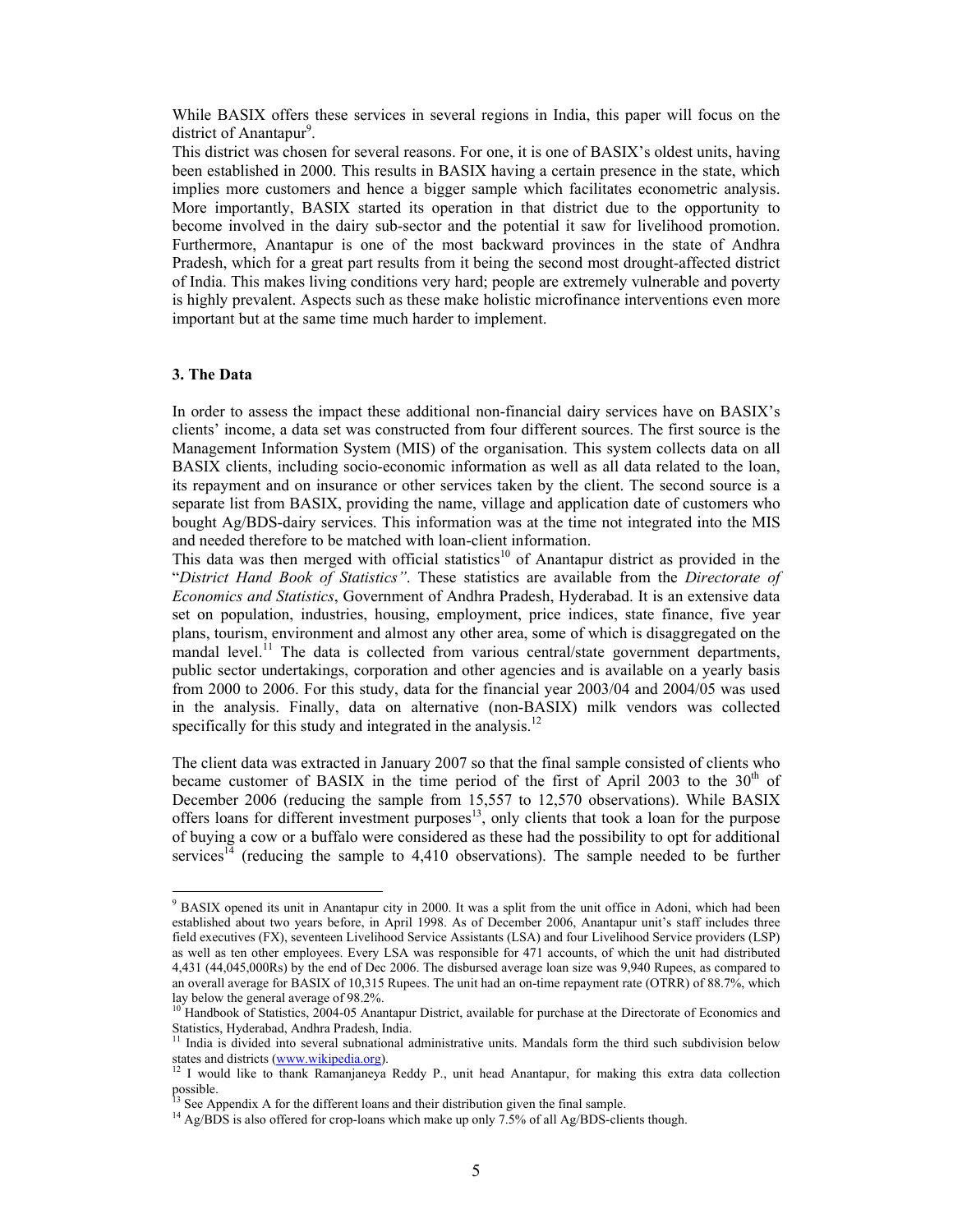While BASIX offers these services in several regions in India, this paper will focus on the district of Anantapur<sup>9</sup>.

This district was chosen for several reasons. For one, it is one of BASIX's oldest units, having been established in 2000. This results in BASIX having a certain presence in the state, which implies more customers and hence a bigger sample which facilitates econometric analysis. More importantly, BASIX started its operation in that district due to the opportunity to become involved in the dairy sub-sector and the potential it saw for livelihood promotion. Furthermore, Anantapur is one of the most backward provinces in the state of Andhra Pradesh, which for a great part results from it being the second most drought-affected district of India. This makes living conditions very hard; people are extremely vulnerable and poverty is highly prevalent. Aspects such as these make holistic microfinance interventions even more important but at the same time much harder to implement.

#### **3. The Data**

In order to assess the impact these additional non-financial dairy services have on BASIX's clients' income, a data set was constructed from four different sources. The first source is the Management Information System (MIS) of the organisation. This system collects data on all BASIX clients, including socio-economic information as well as all data related to the loan, its repayment and on insurance or other services taken by the client. The second source is a separate list from BASIX, providing the name, village and application date of customers who bought Ag/BDS-dairy services. This information was at the time not integrated into the MIS and needed therefore to be matched with loan-client information.

This data was then merged with official statistics<sup>10</sup> of Anantapur district as provided in the "*District Hand Book of Statistics"*. These statistics are available from the *Directorate of Economics and Statistics*, Government of Andhra Pradesh, Hyderabad. It is an extensive data set on population, industries, housing, employment, price indices, state finance, five year plans, tourism, environment and almost any other area, some of which is disaggregated on the mandal level.<sup>11</sup> The data is collected from various central/state government departments, public sector undertakings, corporation and other agencies and is available on a yearly basis from 2000 to 2006. For this study, data for the financial year 2003/04 and 2004/05 was used in the analysis. Finally, data on alternative (non-BASIX) milk vendors was collected specifically for this study and integrated in the analysis. $12$ 

The client data was extracted in January 2007 so that the final sample consisted of clients who became customer of BASIX in the time period of the first of April 2003 to the  $30<sup>th</sup>$  of December 2006 (reducing the sample from 15,557 to 12,570 observations). While BASIX offers loans for different investment purposes<sup>13</sup>, only clients that took a loan for the purpose of buying a cow or a buffalo were considered as these had the possibility to opt for additional services<sup>14</sup> (reducing the sample to  $4,410$  observations). The sample needed to be further

 9 BASIX opened its unit in Anantapur city in 2000. It was a split from the unit office in Adoni, which had been established about two years before, in April 1998. As of December 2006, Anantapur unit's staff includes three field executives (FX), seventeen Livelihood Service Assistants (LSA) and four Livelihood Service providers (LSP) as well as ten other employees. Every LSA was responsible for 471 accounts, of which the unit had distributed 4,431 (44,045,000Rs) by the end of Dec 2006. The disbursed average loan size was 9,940 Rupees, as compared to an overall average for BASIX of 10,315 Rupees. The unit had an on-time repayment rate (OTRR) of 88.7%, which lay below the general average of 98.2%.

<sup>&</sup>lt;sup>10</sup> Handbook of Statistics, 2004-05 Anantapur District, available for purchase at the Directorate of Economics and Statistics, Hyderabad, Andhra Pradesh, India.

 $11$  India is divided into several subnational administrative units. Mandals form the third such subdivision below states and districts (www.wikipedia.org).<br><sup>12</sup> I would like to thank Ramanjaneya Reddy P., unit head Anantapur, for making this extra data collection

possible.

 $3$  See Appendix A for the different loans and their distribution given the final sample.

 $14$  Ag/BDS is also offered for crop-loans which make up only 7.5% of all Ag/BDS-clients though.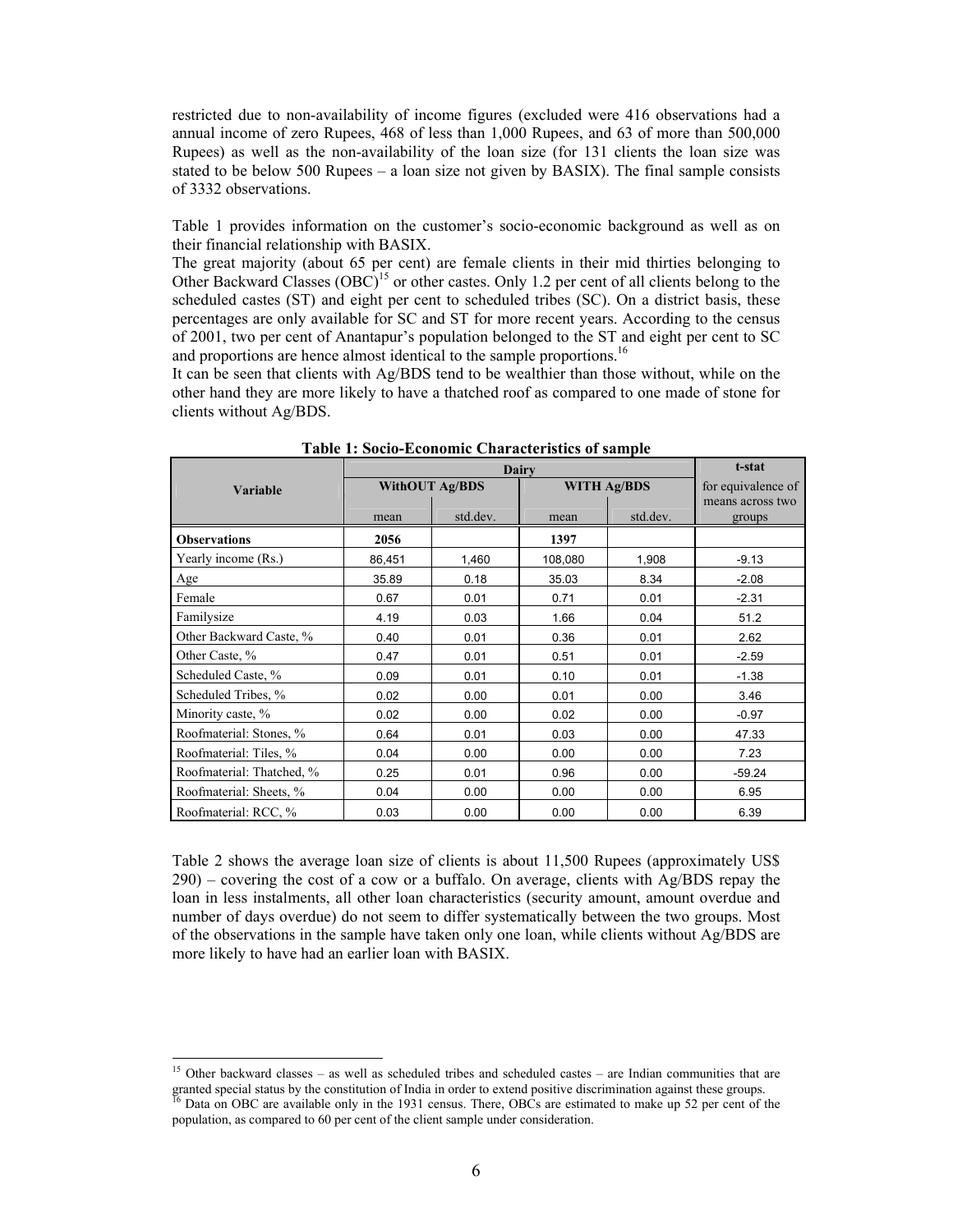restricted due to non-availability of income figures (excluded were 416 observations had a annual income of zero Rupees, 468 of less than 1,000 Rupees, and 63 of more than 500,000 Rupees) as well as the non-availability of the loan size (for 131 clients the loan size was stated to be below 500 Rupees – a loan size not given by BASIX). The final sample consists of 3332 observations.

Table 1 provides information on the customer's socio-economic background as well as on their financial relationship with BASIX.

The great majority (about 65 per cent) are female clients in their mid thirties belonging to Other Backward Classes  $(OBC)^{15}$  or other castes. Only 1.2 per cent of all clients belong to the scheduled castes (ST) and eight per cent to scheduled tribes (SC). On a district basis, these percentages are only available for SC and ST for more recent years. According to the census of 2001, two per cent of Anantapur's population belonged to the ST and eight per cent to SC and proportions are hence almost identical to the sample proportions.<sup>16</sup>

It can be seen that clients with Ag/BDS tend to be wealthier than those without, while on the other hand they are more likely to have a thatched roof as compared to one made of stone for clients without Ag/BDS.

|                           |                       | t-stat   |                    |                    |                            |
|---------------------------|-----------------------|----------|--------------------|--------------------|----------------------------|
| <b>Variable</b>           | <b>WithOUT Ag/BDS</b> |          | <b>WITH Ag/BDS</b> | for equivalence of |                            |
|                           | mean                  | std.dev. | mean               | std.dev.           | means across two<br>groups |
| <b>Observations</b>       | 2056                  |          | 1397               |                    |                            |
| Yearly income (Rs.)       | 86,451                | 1,460    | 108,080            | 1,908              | $-9.13$                    |
| Age                       | 35.89                 | 0.18     | 35.03              | 8.34               | $-2.08$                    |
| Female                    | 0.67                  | 0.01     | 0.71               | 0.01               | $-2.31$                    |
| Familysize                | 4.19                  | 0.03     | 1.66               | 0.04               | 51.2                       |
| Other Backward Caste, %   | 0.40                  | 0.01     | 0.36               | 0.01               | 2.62                       |
| Other Caste, %            | 0.47                  | 0.01     | 0.51               | 0.01               | $-2.59$                    |
| Scheduled Caste, %        | 0.09                  | 0.01     | 0.10               | 0.01               | $-1.38$                    |
| Scheduled Tribes, %       | 0.02                  | 0.00     | 0.01               | 0.00               | 3.46                       |
| Minority caste, %         | 0.02                  | 0.00     | 0.02               | 0.00               | $-0.97$                    |
| Roofmaterial: Stones, %   | 0.64                  | 0.01     | 0.03               | 0.00               | 47.33                      |
| Roofmaterial: Tiles, %    | 0.04                  | 0.00     | 0.00               | 0.00               | 7.23                       |
| Roofmaterial: Thatched, % | 0.25                  | 0.01     | 0.96               | 0.00               | $-59.24$                   |
| Roofmaterial: Sheets, %   | 0.04                  | 0.00     | 0.00               | 0.00               | 6.95                       |
| Roofmaterial: RCC, %      | 0.03                  | 0.00     | 0.00               | 0.00               | 6.39                       |

**Table 1: Socio-Economic Characteristics of sample** 

Table 2 shows the average loan size of clients is about 11,500 Rupees (approximately US\$  $290$  – covering the cost of a cow or a buffalo. On average, clients with Ag/BDS repay the loan in less instalments, all other loan characteristics (security amount, amount overdue and number of days overdue) do not seem to differ systematically between the two groups. Most of the observations in the sample have taken only one loan, while clients without Ag/BDS are more likely to have had an earlier loan with BASIX.

l

<sup>&</sup>lt;sup>15</sup> Other backward classes – as well as scheduled tribes and scheduled castes – are Indian communities that are granted special status by the constitution of India in order to extend positive discrimination against these groups. Data on OBC are available only in the 1931 census. There, OBCs are estimated to make up 52 per cent of the

population, as compared to 60 per cent of the client sample under consideration.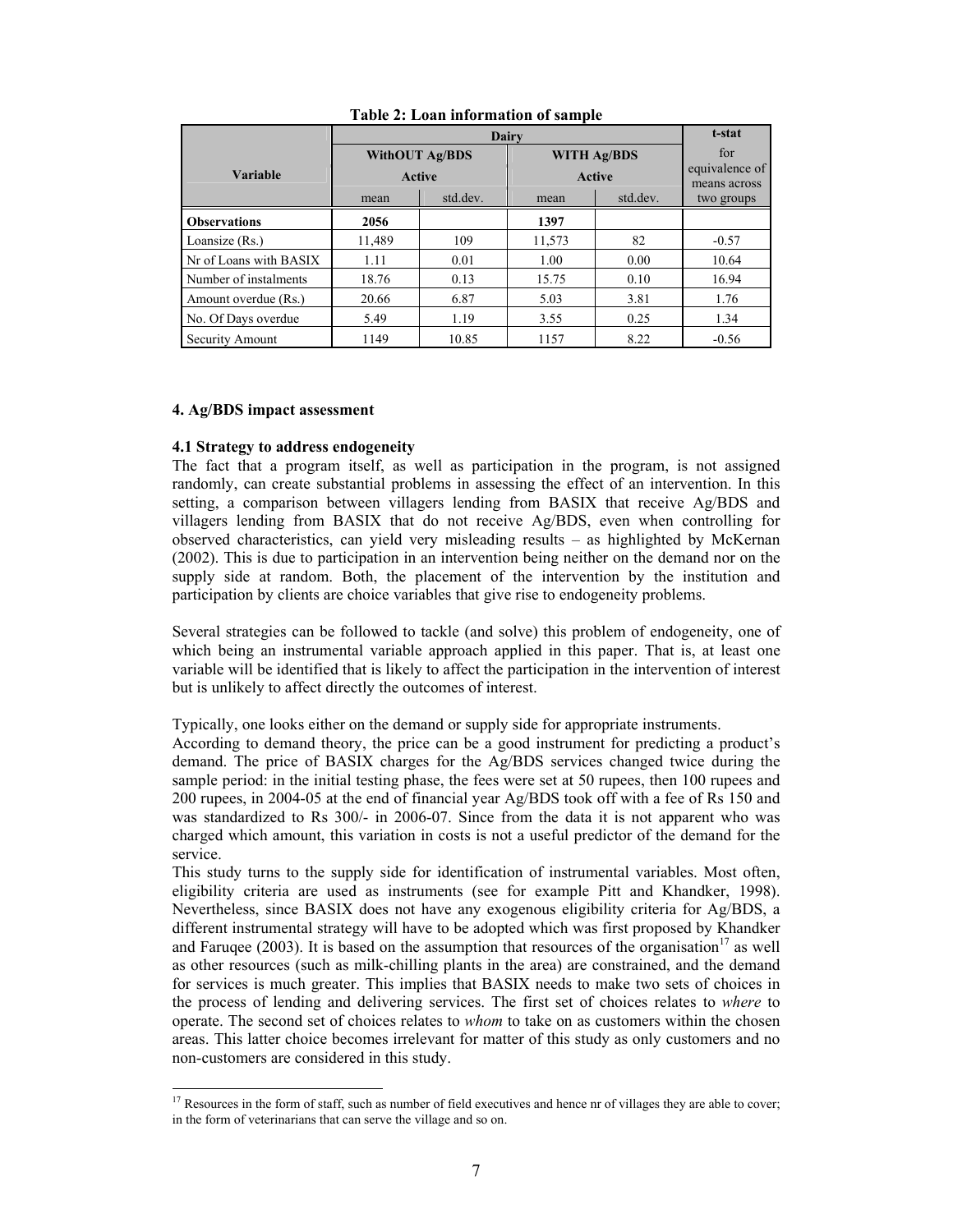| Dairy                  |                                        |          |                  |                                     |                                       |  |
|------------------------|----------------------------------------|----------|------------------|-------------------------------------|---------------------------------------|--|
| Variable               | <b>WithOUT Ag/BDS</b><br><b>Active</b> |          |                  | <b>WITH Ag/BDS</b><br><b>Active</b> | for<br>equivalence of<br>means across |  |
|                        | mean                                   | std.dev. | std.dev.<br>mean |                                     | two groups                            |  |
| <b>Observations</b>    | 2056                                   |          | 1397             |                                     |                                       |  |
| Loansize (Rs.)         | 11,489                                 | 109      | 11,573           | 82                                  | $-0.57$                               |  |
| Nr of Loans with BASIX | 1.11                                   | 0.01     | 1.00             | 0.00                                | 10.64                                 |  |
| Number of instalments  | 18.76                                  | 0.13     | 15.75            | 0.10                                | 16.94                                 |  |
| Amount overdue (Rs.)   | 20.66                                  | 6.87     | 5.03             | 3.81                                | 1.76                                  |  |
| No. Of Days overdue    | 5.49                                   | 1.19     | 3.55             | 0.25                                | 1.34                                  |  |
| Security Amount        | 1149                                   | 10.85    | 1157             | 8.22                                | $-0.56$                               |  |

**Table 2: Loan information of sample** 

# **4. Ag/BDS impact assessment**

## **4.1 Strategy to address endogeneity**

The fact that a program itself, as well as participation in the program, is not assigned randomly, can create substantial problems in assessing the effect of an intervention. In this setting, a comparison between villagers lending from BASIX that receive Ag/BDS and villagers lending from BASIX that do not receive Ag/BDS, even when controlling for observed characteristics, can yield very misleading results – as highlighted by McKernan (2002). This is due to participation in an intervention being neither on the demand nor on the supply side at random. Both, the placement of the intervention by the institution and participation by clients are choice variables that give rise to endogeneity problems.

Several strategies can be followed to tackle (and solve) this problem of endogeneity, one of which being an instrumental variable approach applied in this paper. That is, at least one variable will be identified that is likely to affect the participation in the intervention of interest but is unlikely to affect directly the outcomes of interest.

Typically, one looks either on the demand or supply side for appropriate instruments.

According to demand theory, the price can be a good instrument for predicting a product's demand. The price of BASIX charges for the Ag/BDS services changed twice during the sample period: in the initial testing phase, the fees were set at 50 rupees, then 100 rupees and 200 rupees, in 2004-05 at the end of financial year Ag/BDS took off with a fee of Rs 150 and was standardized to Rs 300/- in 2006-07. Since from the data it is not apparent who was charged which amount, this variation in costs is not a useful predictor of the demand for the service.

This study turns to the supply side for identification of instrumental variables. Most often, eligibility criteria are used as instruments (see for example Pitt and Khandker, 1998). Nevertheless, since BASIX does not have any exogenous eligibility criteria for Ag/BDS, a different instrumental strategy will have to be adopted which was first proposed by Khandker and Faruqee (2003). It is based on the assumption that resources of the organisation<sup>17</sup> as well as other resources (such as milk-chilling plants in the area) are constrained, and the demand for services is much greater. This implies that BASIX needs to make two sets of choices in the process of lending and delivering services. The first set of choices relates to *where* to operate. The second set of choices relates to *whom* to take on as customers within the chosen areas. This latter choice becomes irrelevant for matter of this study as only customers and no non-customers are considered in this study.

l <sup>17</sup> Resources in the form of staff, such as number of field executives and hence nr of villages they are able to cover; in the form of veterinarians that can serve the village and so on.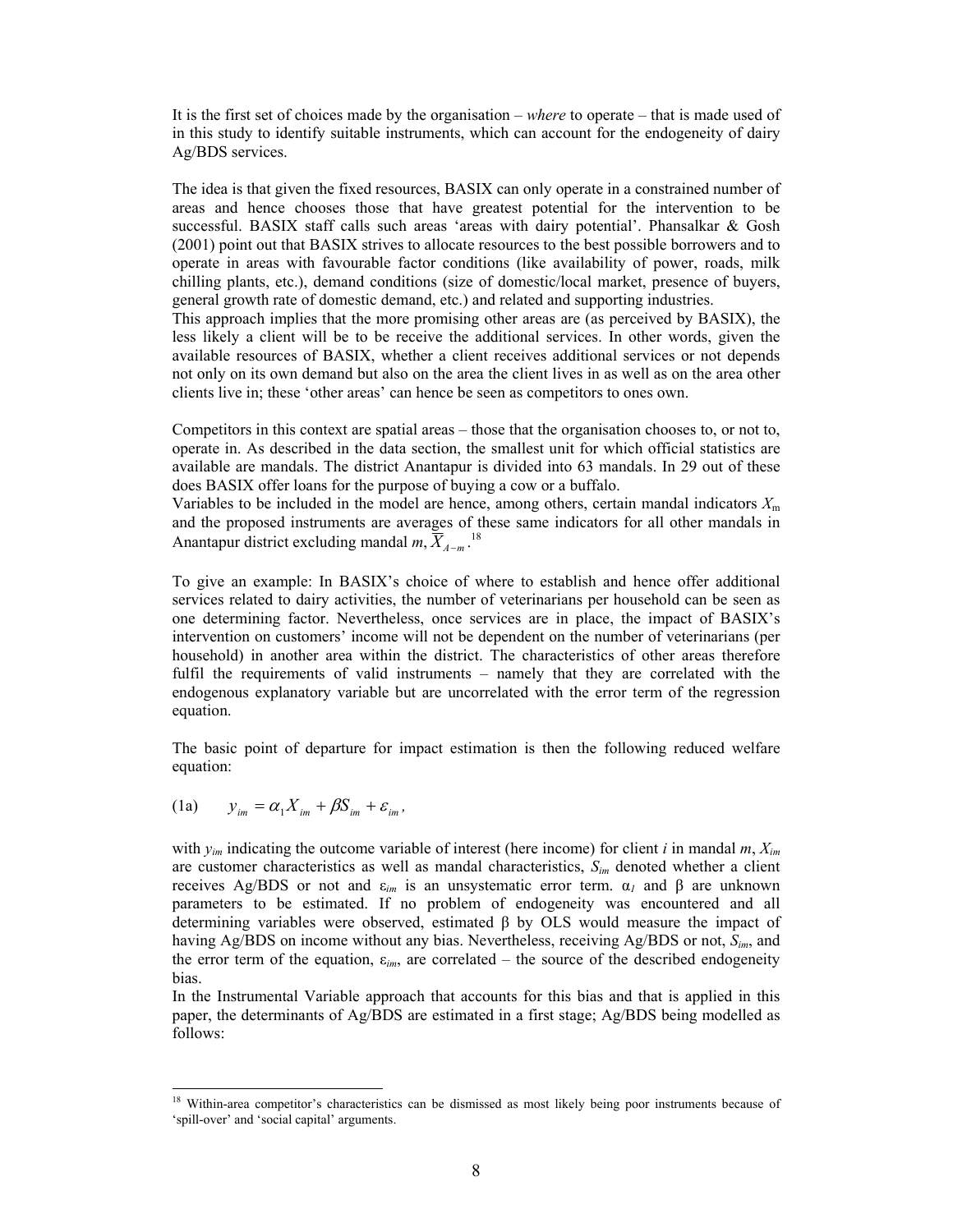It is the first set of choices made by the organisation – *where* to operate – that is made used of in this study to identify suitable instruments, which can account for the endogeneity of dairy Ag/BDS services.

The idea is that given the fixed resources, BASIX can only operate in a constrained number of areas and hence chooses those that have greatest potential for the intervention to be successful. BASIX staff calls such areas 'areas with dairy potential'. Phansalkar & Gosh (2001) point out that BASIX strives to allocate resources to the best possible borrowers and to operate in areas with favourable factor conditions (like availability of power, roads, milk chilling plants, etc.), demand conditions (size of domestic/local market, presence of buyers, general growth rate of domestic demand, etc.) and related and supporting industries.

This approach implies that the more promising other areas are (as perceived by BASIX), the less likely a client will be to be receive the additional services. In other words, given the available resources of BASIX, whether a client receives additional services or not depends not only on its own demand but also on the area the client lives in as well as on the area other clients live in; these 'other areas' can hence be seen as competitors to ones own.

Competitors in this context are spatial areas – those that the organisation chooses to, or not to, operate in. As described in the data section, the smallest unit for which official statistics are available are mandals. The district Anantapur is divided into 63 mandals. In 29 out of these does BASIX offer loans for the purpose of buying a cow or a buffalo.

Variables to be included in the model are hence, among others, certain mandal indicators  $X<sub>m</sub>$ and the proposed instruments are averages of these same indicators for all other mandals in Anantapur district excluding mandal  $m, \overline{X}_{A-m}$ .<sup>18</sup>

To give an example: In BASIX's choice of where to establish and hence offer additional services related to dairy activities, the number of veterinarians per household can be seen as one determining factor. Nevertheless, once services are in place, the impact of BASIX's intervention on customers' income will not be dependent on the number of veterinarians (per household) in another area within the district. The characteristics of other areas therefore fulfil the requirements of valid instruments – namely that they are correlated with the endogenous explanatory variable but are uncorrelated with the error term of the regression equation.

The basic point of departure for impact estimation is then the following reduced welfare equation:

(1a)  $y_{im} = \alpha_1 X_{im} + \beta S_{im} + \varepsilon_{im}$ 

 $\overline{\phantom{a}}$ 

with *yim* indicating the outcome variable of interest (here income) for client *i* in mandal *m*, *Xim* are customer characteristics as well as mandal characteristics, *Sim* denoted whether a client receives Ag/BDS or not and ε*im* is an unsystematic error term. α*1* and β are unknown parameters to be estimated. If no problem of endogeneity was encountered and all determining variables were observed, estimated  $\beta$  by OLS would measure the impact of having Ag/BDS on income without any bias. Nevertheless, receiving Ag/BDS or not, *Sim*, and the error term of the equation, ε*im*, are correlated – the source of the described endogeneity bias.

In the Instrumental Variable approach that accounts for this bias and that is applied in this paper, the determinants of Ag/BDS are estimated in a first stage; Ag/BDS being modelled as follows:

<sup>&</sup>lt;sup>18</sup> Within-area competitor's characteristics can be dismissed as most likely being poor instruments because of 'spill-over' and 'social capital' arguments.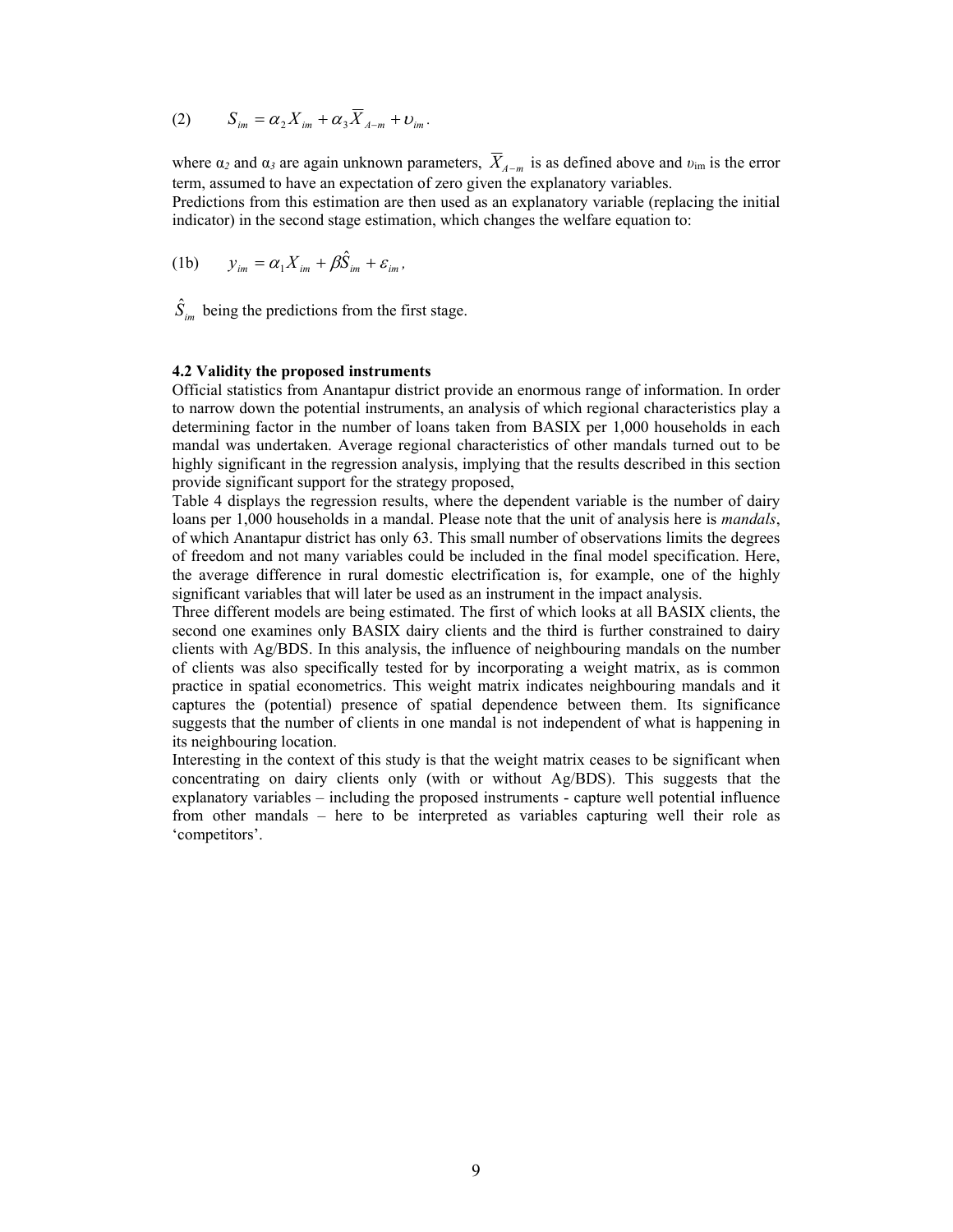$$
(2) \qquad S_{im} = \alpha_2 X_{im} + \alpha_3 \overline{X}_{A-m} + \nu_{im}.
$$

where  $\alpha_2$  and  $\alpha_3$  are again unknown parameters,  $\overline{X}_{A-m}$  is as defined above and  $v_{\text{im}}$  is the error term, assumed to have an expectation of zero given the explanatory variables.

Predictions from this estimation are then used as an explanatory variable (replacing the initial indicator) in the second stage estimation, which changes the welfare equation to:

(1b) 
$$
y_{im} = \alpha_1 X_{im} + \beta \hat{S}_{im} + \varepsilon_{im},
$$

 $\hat{S}_{im}$  being the predictions from the first stage.

# **4.2 Validity the proposed instruments**

Official statistics from Anantapur district provide an enormous range of information. In order to narrow down the potential instruments, an analysis of which regional characteristics play a determining factor in the number of loans taken from BASIX per 1,000 households in each mandal was undertaken. Average regional characteristics of other mandals turned out to be highly significant in the regression analysis, implying that the results described in this section provide significant support for the strategy proposed,

Table 4 displays the regression results, where the dependent variable is the number of dairy loans per 1,000 households in a mandal. Please note that the unit of analysis here is *mandals*, of which Anantapur district has only 63. This small number of observations limits the degrees of freedom and not many variables could be included in the final model specification. Here, the average difference in rural domestic electrification is, for example, one of the highly significant variables that will later be used as an instrument in the impact analysis.

Three different models are being estimated. The first of which looks at all BASIX clients, the second one examines only BASIX dairy clients and the third is further constrained to dairy clients with Ag/BDS. In this analysis, the influence of neighbouring mandals on the number of clients was also specifically tested for by incorporating a weight matrix, as is common practice in spatial econometrics. This weight matrix indicates neighbouring mandals and it captures the (potential) presence of spatial dependence between them. Its significance suggests that the number of clients in one mandal is not independent of what is happening in its neighbouring location.

Interesting in the context of this study is that the weight matrix ceases to be significant when concentrating on dairy clients only (with or without Ag/BDS). This suggests that the explanatory variables – including the proposed instruments - capture well potential influence from other mandals – here to be interpreted as variables capturing well their role as 'competitors'.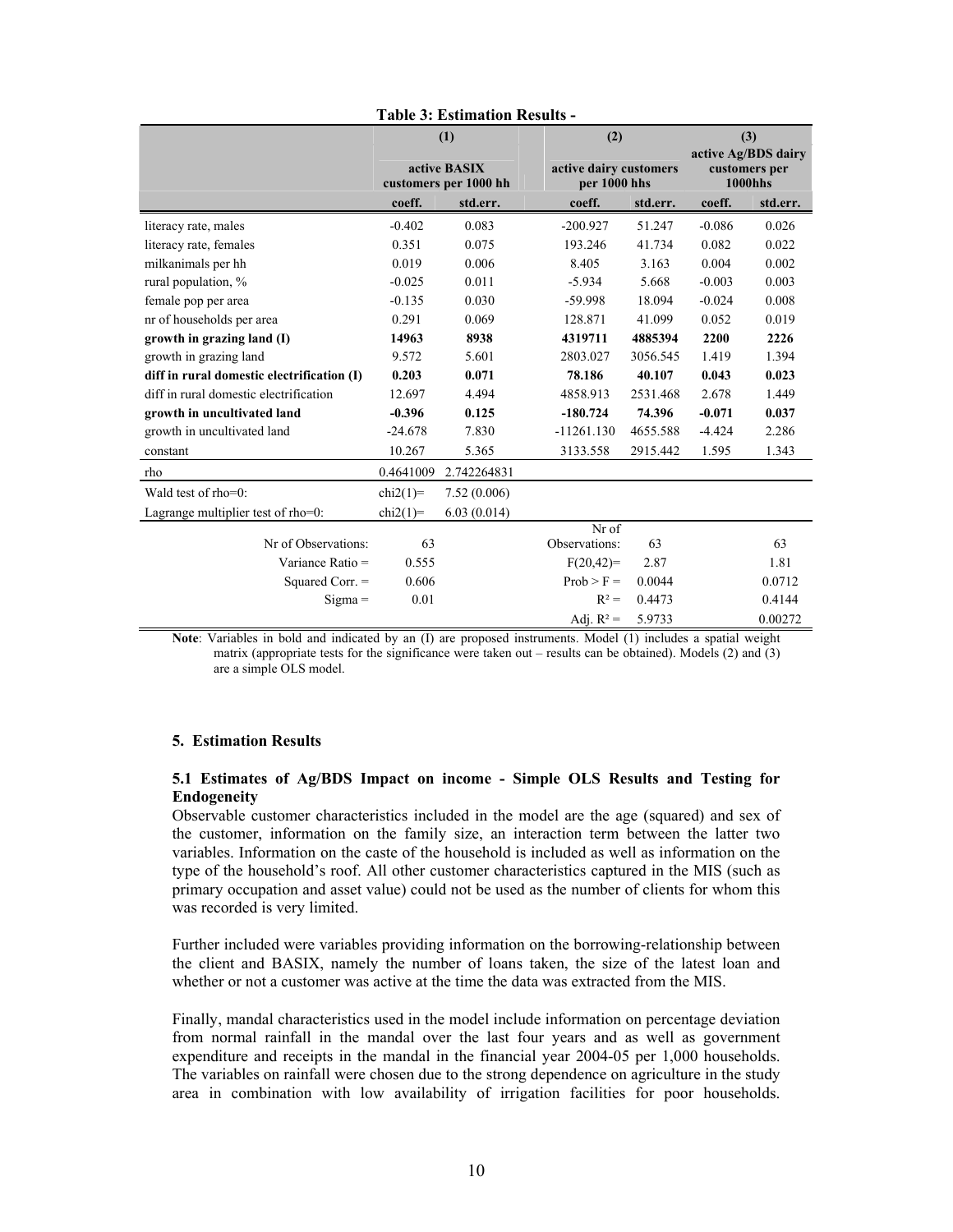|                                            | (1)<br>active BASIX |                       | (2)           | active dairy customers |                | (3)<br>active Ag/BDS dairy<br>customers per |  |
|--------------------------------------------|---------------------|-----------------------|---------------|------------------------|----------------|---------------------------------------------|--|
|                                            |                     | customers per 1000 hh | per 1000 hhs  |                        | <b>1000hhs</b> |                                             |  |
|                                            | coeff.              | std.err.              | coeff.        | std.err.               | coeff.         | std.err.                                    |  |
| literacy rate, males                       | $-0.402$            | 0.083                 | $-200.927$    | 51.247                 | $-0.086$       | 0.026                                       |  |
| literacy rate, females                     | 0.351               | 0.075                 | 193.246       | 41.734                 | 0.082          | 0.022                                       |  |
| milkanimals per hh                         | 0.019               | 0.006                 | 8.405         | 3.163                  | 0.004          | 0.002                                       |  |
| rural population, %                        | $-0.025$            | 0.011                 | $-5.934$      | 5.668                  | $-0.003$       | 0.003                                       |  |
| female pop per area                        | $-0.135$            | 0.030                 | $-59.998$     | 18.094                 | $-0.024$       | 0.008                                       |  |
| nr of households per area                  | 0.291               | 0.069                 | 128.871       | 41.099                 | 0.052          | 0.019                                       |  |
| growth in grazing land (I)                 | 14963               | 8938                  | 4319711       | 4885394                | 2200           | 2226                                        |  |
| growth in grazing land                     | 9.572               | 5.601                 | 2803.027      | 3056.545               | 1.419          | 1.394                                       |  |
| diff in rural domestic electrification (I) | 0.203               | 0.071                 | 78.186        | 40.107                 | 0.043          | 0.023                                       |  |
| diff in rural domestic electrification     | 12.697              | 4.494                 | 4858.913      | 2531.468               | 2.678          | 1.449                                       |  |
| growth in uncultivated land                | $-0.396$            | 0.125                 | $-180.724$    | 74.396                 | $-0.071$       | 0.037                                       |  |
| growth in uncultivated land                | $-24.678$           | 7.830                 | $-11261.130$  | 4655.588               | $-4.424$       | 2.286                                       |  |
| constant                                   | 10.267              | 5.365                 | 3133.558      | 2915.442               | 1.595          | 1.343                                       |  |
| rho                                        | 0.4641009           | 2.742264831           |               |                        |                |                                             |  |
| Wald test of rho=0:                        | $chi2(1)=$          | 7.52(0.006)           |               |                        |                |                                             |  |
| Lagrange multiplier test of rho=0:         | $chi2(1)=$          | 6.03(0.014)           |               |                        |                |                                             |  |
|                                            |                     |                       | Nr of         |                        |                |                                             |  |
| Nr of Observations:                        | 63                  |                       | Observations: | 63                     |                | 63                                          |  |
| Variance Ratio $=$                         | 0.555               |                       | $F(20,42)=$   | 2.87                   |                | 1.81                                        |  |
| Squared Corr. =                            | 0.606               |                       | $Prob > F =$  | 0.0044                 |                | 0.0712                                      |  |
| $Sigma =$                                  | 0.01                |                       | $R^2 =$       | 0.4473                 |                | 0.4144                                      |  |
|                                            |                     |                       | Adj. $R^2$ =  | 5.9733                 |                | 0.00272                                     |  |

**Table 3: Estimation Results -** 

**Note**: Variables in bold and indicated by an (I) are proposed instruments. Model (1) includes a spatial weight matrix (appropriate tests for the significance were taken out – results can be obtained). Models (2) and (3) are a simple OLS model.

## **5. Estimation Results**

# **5.1 Estimates of Ag/BDS Impact on income - Simple OLS Results and Testing for Endogeneity**

Observable customer characteristics included in the model are the age (squared) and sex of the customer, information on the family size, an interaction term between the latter two variables. Information on the caste of the household is included as well as information on the type of the household's roof. All other customer characteristics captured in the MIS (such as primary occupation and asset value) could not be used as the number of clients for whom this was recorded is very limited.

Further included were variables providing information on the borrowing-relationship between the client and BASIX, namely the number of loans taken, the size of the latest loan and whether or not a customer was active at the time the data was extracted from the MIS.

Finally, mandal characteristics used in the model include information on percentage deviation from normal rainfall in the mandal over the last four years and as well as government expenditure and receipts in the mandal in the financial year 2004-05 per 1,000 households. The variables on rainfall were chosen due to the strong dependence on agriculture in the study area in combination with low availability of irrigation facilities for poor households.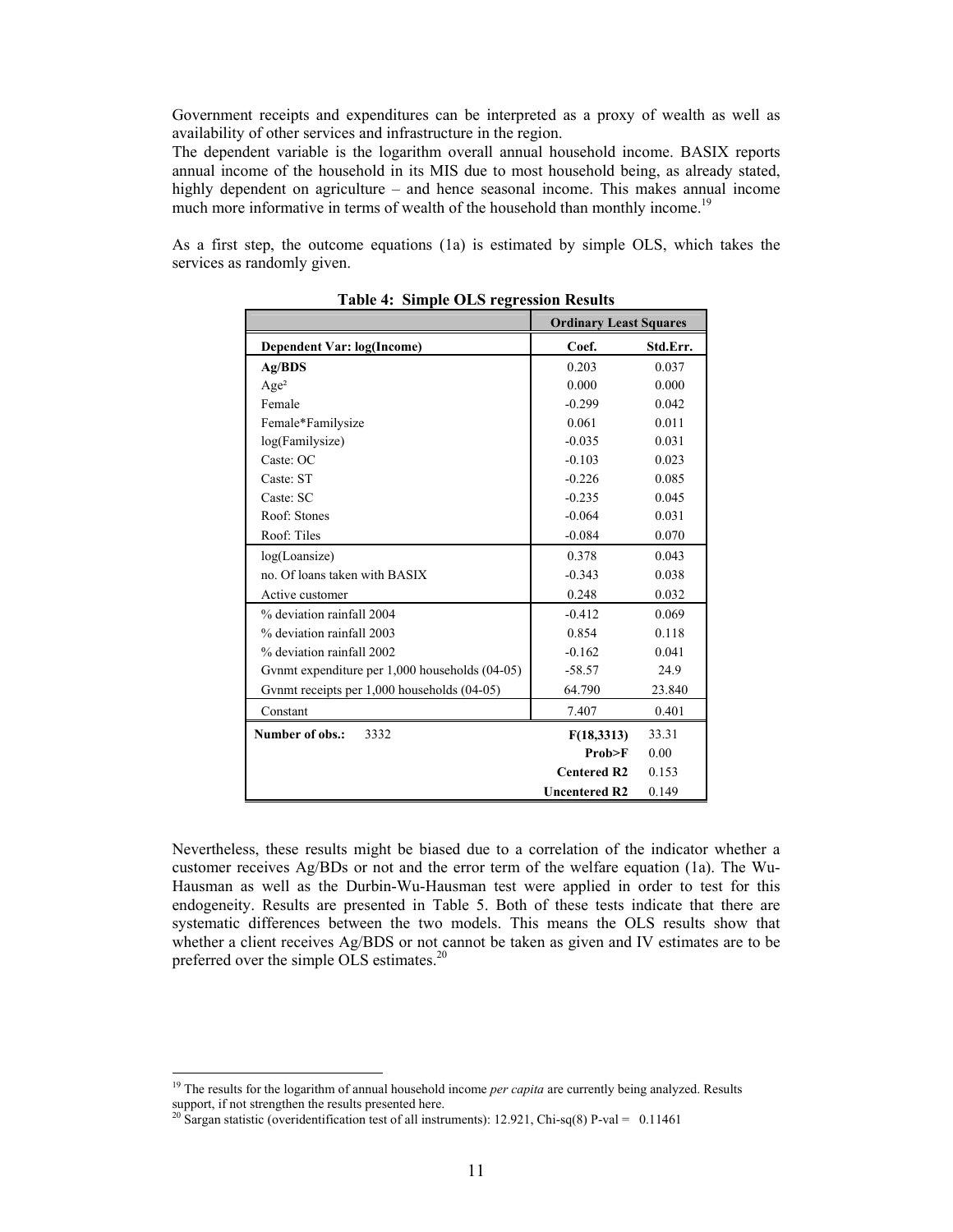Government receipts and expenditures can be interpreted as a proxy of wealth as well as availability of other services and infrastructure in the region.

The dependent variable is the logarithm overall annual household income. BASIX reports annual income of the household in its MIS due to most household being, as already stated, highly dependent on agriculture – and hence seasonal income. This makes annual income much more informative in terms of wealth of the household than monthly income.<sup>19</sup>

As a first step, the outcome equations (1a) is estimated by simple OLS, which takes the services as randomly given.

|                                                | <b>Ordinary Least Squares</b> |          |
|------------------------------------------------|-------------------------------|----------|
| Dependent Var: log(Income)                     | Coef.                         | Std.Err. |
| Ag/BDS                                         | 0.203                         | 0.037    |
| Age <sup>2</sup>                               | 0.000                         | 0.000    |
| Female                                         | $-0.299$                      | 0.042    |
| Female*Familysize                              | 0.061                         | 0.011    |
| log(Familysize)                                | $-0.035$                      | 0.031    |
| Caste: OC                                      | $-0.103$                      | 0.023    |
| Caste: ST                                      | $-0.226$                      | 0.085    |
| Caste: SC                                      | $-0.235$                      | 0.045    |
| Roof: Stones                                   | $-0.064$                      | 0.031    |
| Roof: Tiles                                    | $-0.084$                      | 0.070    |
| log(L)                                         | 0.378                         | 0.043    |
| no. Of loans taken with BASIX                  | $-0.343$                      | 0.038    |
| Active customer                                | 0.248                         | 0.032    |
| % deviation rainfall 2004                      | $-0.412$                      | 0.069    |
| % deviation rainfall 2003                      | 0.854                         | 0.118    |
| % deviation rainfall 2002                      | $-0.162$                      | 0.041    |
| Gynmt expenditure per 1,000 households (04-05) | $-58.57$                      | 24.9     |
| Gynmt receipts per 1,000 households (04-05)    | 64.790                        | 23.840   |
| Constant                                       | 7.407                         | 0.401    |
| Number of obs.:<br>3332                        | F(18,3313)                    | 33.31    |
|                                                | Prob>F                        | 0.00     |
|                                                | <b>Centered R2</b>            | 0.153    |
|                                                | <b>Uncentered R2</b>          | 0.149    |

**Table 4: Simple OLS regression Results** 

Nevertheless, these results might be biased due to a correlation of the indicator whether a customer receives Ag/BDs or not and the error term of the welfare equation (1a). The Wu-Hausman as well as the Durbin-Wu-Hausman test were applied in order to test for this endogeneity. Results are presented in Table 5. Both of these tests indicate that there are systematic differences between the two models. This means the OLS results show that whether a client receives Ag/BDS or not cannot be taken as given and IV estimates are to be preferred over the simple OLS estimates.<sup>20</sup>

<sup>&</sup>lt;sup>19</sup> The results for the logarithm of annual household income *per capita* are currently being analyzed. Results support, if not strengthen the results presented here.<br><sup>20</sup> Sargan statistic (overidentification test of all instruments): 12.921, Chi-sq(8) P-val = 0.11461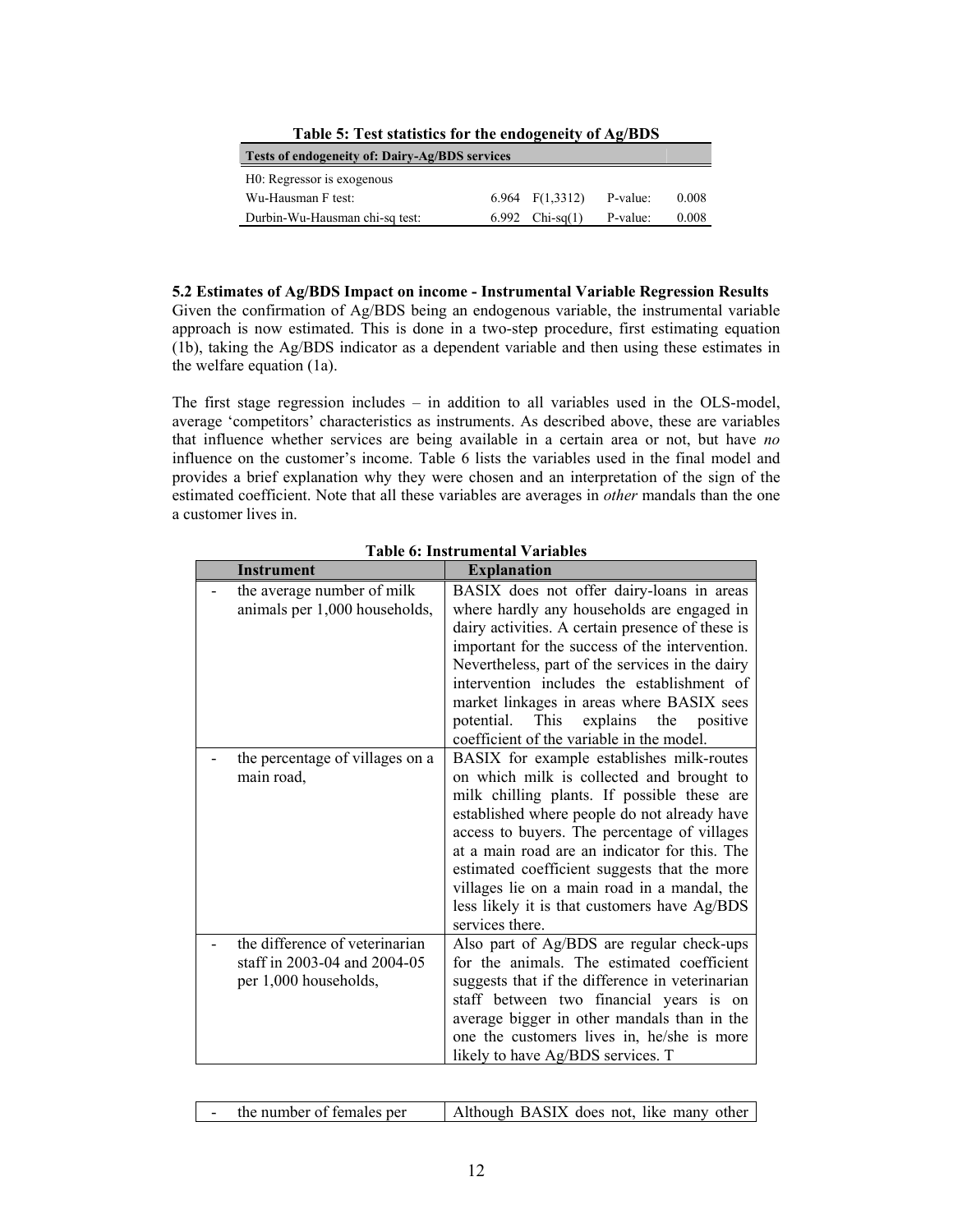| Table of Test statistics for the endogeneity of HCDDS |  |                   |          |       |  |  |  |
|-------------------------------------------------------|--|-------------------|----------|-------|--|--|--|
| Tests of endogeneity of: Dairy-Ag/BDS services        |  |                   |          |       |  |  |  |
| H0: Regressor is exogenous                            |  |                   |          |       |  |  |  |
| Wu-Hausman F test:                                    |  | 6.964 $F(1,3312)$ | P-value: | 0.008 |  |  |  |
| Durbin-Wu-Hausman chi-sq test:                        |  | 6.992 $Chi-sq(1)$ | P-value: | 0.008 |  |  |  |

**Table 5: Test statistics for the endogeneity of Ag/BDS** 

**5.2 Estimates of Ag/BDS Impact on income - Instrumental Variable Regression Results**  Given the confirmation of Ag/BDS being an endogenous variable, the instrumental variable approach is now estimated. This is done in a two-step procedure, first estimating equation (1b), taking the Ag/BDS indicator as a dependent variable and then using these estimates in the welfare equation (1a).

The first stage regression includes – in addition to all variables used in the OLS-model, average 'competitors' characteristics as instruments. As described above, these are variables that influence whether services are being available in a certain area or not, but have *no* influence on the customer's income. Table 6 lists the variables used in the final model and provides a brief explanation why they were chosen and an interpretation of the sign of the estimated coefficient. Note that all these variables are averages in *other* mandals than the one a customer lives in.

| <b>Instrument</b>                                                                       | <b>Explanation</b>                                                                                                                                                                                                                                                                                                                                                                                                                                        |
|-----------------------------------------------------------------------------------------|-----------------------------------------------------------------------------------------------------------------------------------------------------------------------------------------------------------------------------------------------------------------------------------------------------------------------------------------------------------------------------------------------------------------------------------------------------------|
| the average number of milk<br>animals per 1,000 households,                             | BASIX does not offer dairy-loans in areas<br>where hardly any households are engaged in<br>dairy activities. A certain presence of these is<br>important for the success of the intervention.<br>Nevertheless, part of the services in the dairy<br>intervention includes the establishment of<br>market linkages in areas where BASIX sees<br>explains the positive<br>potential. This<br>coefficient of the variable in the model.                      |
| the percentage of villages on a<br>main road,                                           | BASIX for example establishes milk-routes<br>on which milk is collected and brought to<br>milk chilling plants. If possible these are<br>established where people do not already have<br>access to buyers. The percentage of villages<br>at a main road are an indicator for this. The<br>estimated coefficient suggests that the more<br>villages lie on a main road in a mandal, the<br>less likely it is that customers have Ag/BDS<br>services there. |
| the difference of veterinarian<br>staff in 2003-04 and 2004-05<br>per 1,000 households, | Also part of Ag/BDS are regular check-ups<br>for the animals. The estimated coefficient<br>suggests that if the difference in veterinarian<br>staff between two financial years is on<br>average bigger in other mandals than in the<br>one the customers lives in, he/she is more<br>likely to have Ag/BDS services. T                                                                                                                                   |

**Table 6: Instrumental Variables** 

| the number of females per | Although BASIX does not, like many other |
|---------------------------|------------------------------------------|
|---------------------------|------------------------------------------|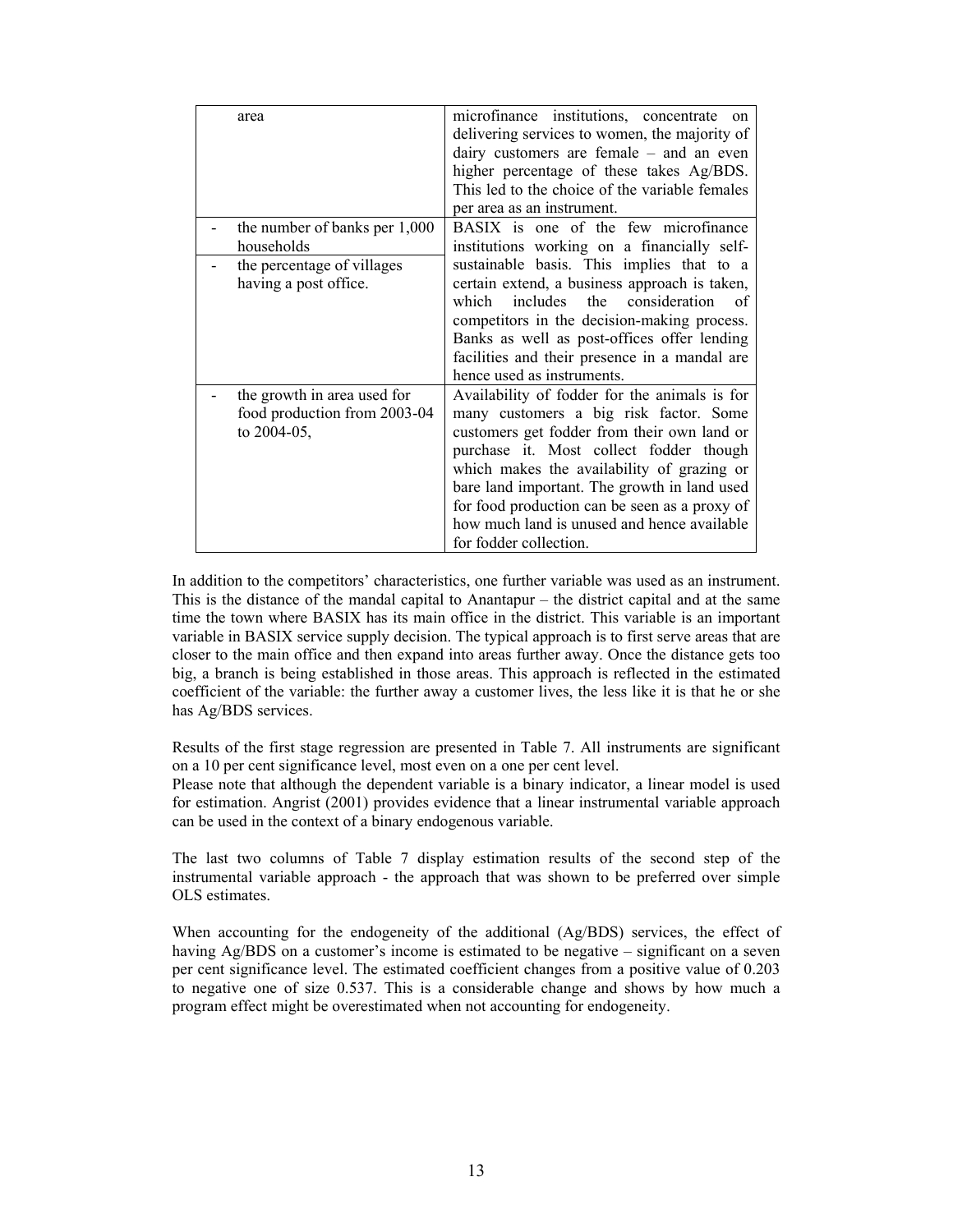| area                                                                       | microfinance institutions, concentrate<br>on<br>delivering services to women, the majority of<br>dairy customers are female $-$ and an even<br>higher percentage of these takes Ag/BDS.<br>This led to the choice of the variable females                                                                                                                                                                 |
|----------------------------------------------------------------------------|-----------------------------------------------------------------------------------------------------------------------------------------------------------------------------------------------------------------------------------------------------------------------------------------------------------------------------------------------------------------------------------------------------------|
| the number of banks per 1,000<br>households                                | per area as an instrument.<br>BASIX is one of the few microfinance<br>institutions working on a financially self-                                                                                                                                                                                                                                                                                         |
| the percentage of villages<br>having a post office.                        | sustainable basis. This implies that to a<br>certain extend, a business approach is taken,<br>includes the consideration<br>which<br>0f.<br>competitors in the decision-making process.<br>Banks as well as post-offices offer lending<br>facilities and their presence in a mandal are<br>hence used as instruments.                                                                                     |
| the growth in area used for<br>food production from 2003-04<br>to 2004-05, | Availability of fodder for the animals is for<br>many customers a big risk factor. Some<br>customers get fodder from their own land or<br>purchase it. Most collect fodder though<br>which makes the availability of grazing or<br>bare land important. The growth in land used<br>for food production can be seen as a proxy of<br>how much land is unused and hence available<br>for fodder collection. |

In addition to the competitors' characteristics, one further variable was used as an instrument. This is the distance of the mandal capital to Anantapur – the district capital and at the same time the town where BASIX has its main office in the district. This variable is an important variable in BASIX service supply decision. The typical approach is to first serve areas that are closer to the main office and then expand into areas further away. Once the distance gets too big, a branch is being established in those areas. This approach is reflected in the estimated coefficient of the variable: the further away a customer lives, the less like it is that he or she has Ag/BDS services.

Results of the first stage regression are presented in Table 7. All instruments are significant on a 10 per cent significance level, most even on a one per cent level.

Please note that although the dependent variable is a binary indicator, a linear model is used for estimation. Angrist (2001) provides evidence that a linear instrumental variable approach can be used in the context of a binary endogenous variable.

The last two columns of Table 7 display estimation results of the second step of the instrumental variable approach - the approach that was shown to be preferred over simple OLS estimates.

When accounting for the endogeneity of the additional (Ag/BDS) services, the effect of having Ag/BDS on a customer's income is estimated to be negative – significant on a seven per cent significance level. The estimated coefficient changes from a positive value of 0.203 to negative one of size 0.537. This is a considerable change and shows by how much a program effect might be overestimated when not accounting for endogeneity.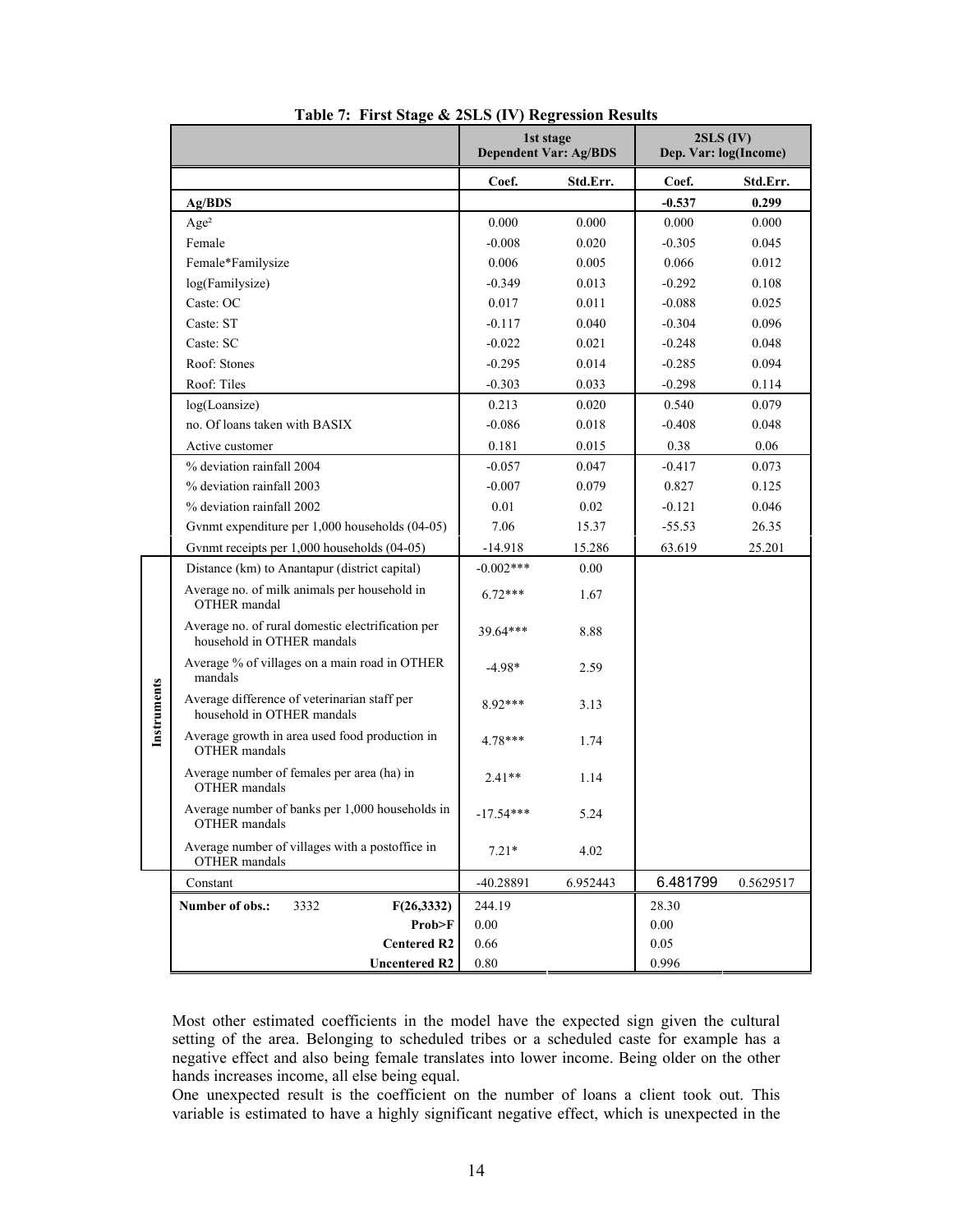|             |                                                                                 |             | 1st stage                    | $2SLS$ (IV)           |           |
|-------------|---------------------------------------------------------------------------------|-------------|------------------------------|-----------------------|-----------|
|             |                                                                                 |             | <b>Dependent Var: Ag/BDS</b> | Dep. Var: log(Income) |           |
|             |                                                                                 | Coef.       | Std.Err.                     | Coef.                 | Std.Err.  |
|             | Ag/BDS                                                                          |             |                              | $-0.537$              | 0.299     |
|             | Age <sup>2</sup>                                                                | 0.000       | 0.000                        | 0.000                 | 0.000     |
|             | Female                                                                          | $-0.008$    | 0.020                        | $-0.305$              | 0.045     |
|             | Female*Familysize                                                               | 0.006       | 0.005                        | 0.066                 | 0.012     |
|             | log(Familysize)                                                                 | $-0.349$    | 0.013                        | $-0.292$              | 0.108     |
|             | Caste: OC                                                                       | 0.017       | 0.011                        | $-0.088$              | 0.025     |
|             | Caste: ST                                                                       | $-0.117$    | 0.040                        | $-0.304$              | 0.096     |
|             | Caste: SC                                                                       | $-0.022$    | 0.021                        | $-0.248$              | 0.048     |
|             | Roof: Stones                                                                    | $-0.295$    | 0.014                        | $-0.285$              | 0.094     |
|             | Roof: Tiles                                                                     | $-0.303$    | 0.033                        | $-0.298$              | 0.114     |
|             | log(Loansize)                                                                   | 0.213       | 0.020                        | 0.540                 | 0.079     |
|             | no. Of loans taken with BASIX                                                   | $-0.086$    | 0.018                        | $-0.408$              | 0.048     |
|             | Active customer                                                                 | 0.181       | 0.015                        | 0.38                  | 0.06      |
|             | % deviation rainfall 2004                                                       | $-0.057$    | 0.047                        | $-0.417$              | 0.073     |
|             | % deviation rainfall 2003                                                       | $-0.007$    | 0.079                        | 0.827                 | 0.125     |
|             | % deviation rainfall 2002                                                       | 0.01        | 0.02                         | $-0.121$              | 0.046     |
|             | Gynmt expenditure per 1,000 households (04-05)                                  | 7.06        | 15.37                        | $-55.53$              | 26.35     |
|             | Gynmt receipts per 1,000 households (04-05)                                     | $-14.918$   | 15.286                       | 63.619                | 25.201    |
|             | Distance (km) to Anantapur (district capital)                                   | $-0.002***$ | 0.00                         |                       |           |
|             | Average no. of milk animals per household in<br>OTHER mandal                    | $6.72***$   | 1.67                         |                       |           |
|             | Average no. of rural domestic electrification per<br>household in OTHER mandals | 39.64***    | 8.88                         |                       |           |
|             | Average % of villages on a main road in OTHER<br>mandals                        | $-4.98*$    | 2.59                         |                       |           |
| Instruments | Average difference of veterinarian staff per<br>household in OTHER mandals      | 8.92***     | 3.13                         |                       |           |
|             | Average growth in area used food production in<br><b>OTHER</b> mandals          | 4.78***     | 1.74                         |                       |           |
|             | Average number of females per area (ha) in<br>OTHER mandals                     | $2.41**$    | 1.14                         |                       |           |
|             | Average number of banks per 1,000 households in<br>OTHER mandals                | $-17.54***$ | 5.24                         |                       |           |
|             | Average number of villages with a postoffice in<br>OTHER mandals                | $7.21*$     | 4.02                         |                       |           |
|             | Constant                                                                        | $-40.28891$ | 6.952443                     | 6.481799              | 0.5629517 |
|             | Number of obs.:<br>3332<br>F(26, 3332)                                          | 244.19      |                              | 28.30                 |           |
|             | Prob>F                                                                          | 0.00        |                              | 0.00                  |           |
|             | <b>Centered R2</b>                                                              | $0.66\,$    |                              | $0.05\,$              |           |
|             | <b>Uncentered R2</b>                                                            | 0.80        |                              | 0.996                 |           |

|  |  | Table 7: First Stage & 2SLS (IV) Regression Results |  |
|--|--|-----------------------------------------------------|--|
|  |  |                                                     |  |

Most other estimated coefficients in the model have the expected sign given the cultural setting of the area. Belonging to scheduled tribes or a scheduled caste for example has a negative effect and also being female translates into lower income. Being older on the other hands increases income, all else being equal.

One unexpected result is the coefficient on the number of loans a client took out. This variable is estimated to have a highly significant negative effect, which is unexpected in the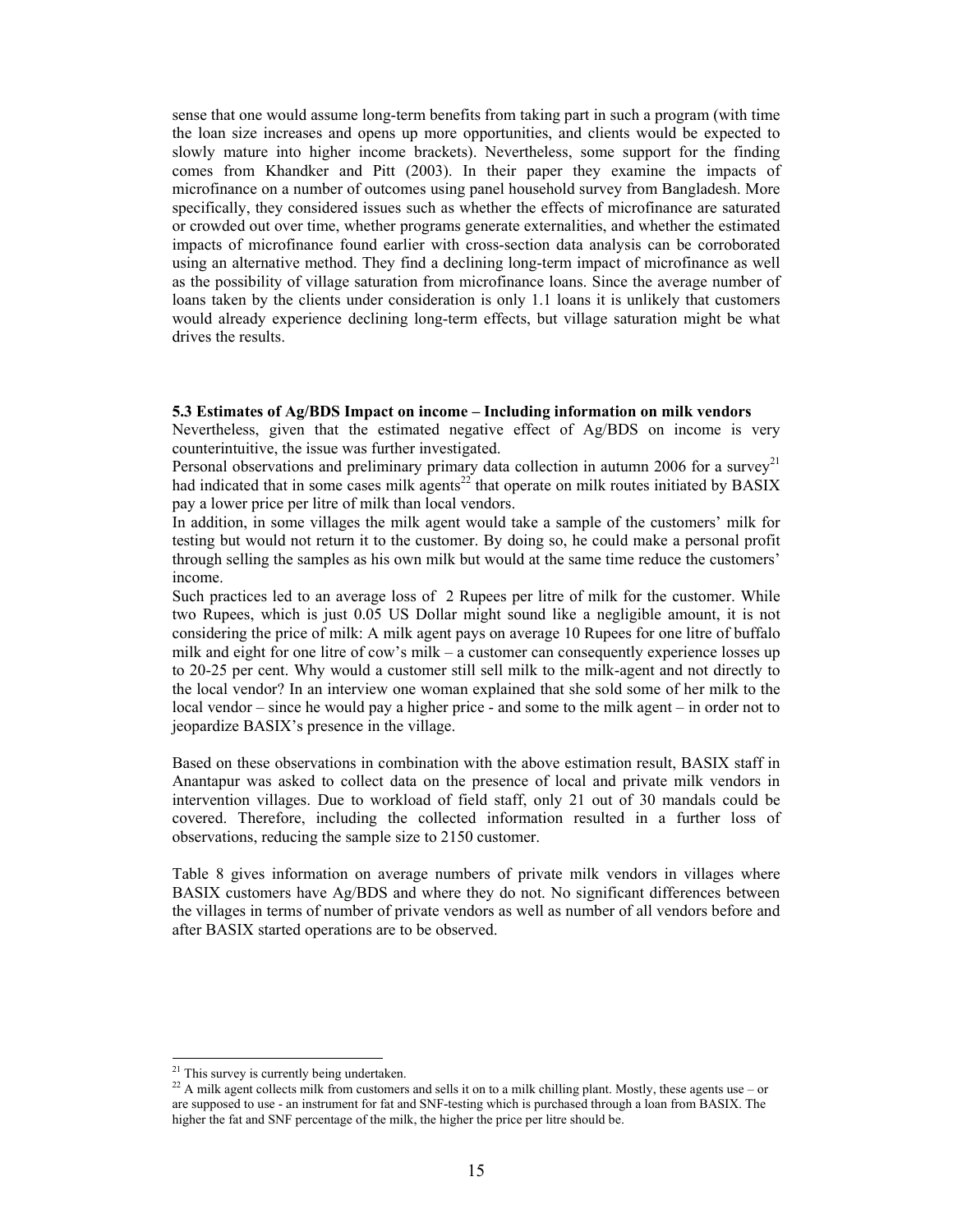sense that one would assume long-term benefits from taking part in such a program (with time the loan size increases and opens up more opportunities, and clients would be expected to slowly mature into higher income brackets). Nevertheless, some support for the finding comes from Khandker and Pitt (2003). In their paper they examine the impacts of microfinance on a number of outcomes using panel household survey from Bangladesh. More specifically, they considered issues such as whether the effects of microfinance are saturated or crowded out over time, whether programs generate externalities, and whether the estimated impacts of microfinance found earlier with cross-section data analysis can be corroborated using an alternative method. They find a declining long-term impact of microfinance as well as the possibility of village saturation from microfinance loans. Since the average number of loans taken by the clients under consideration is only 1.1 loans it is unlikely that customers would already experience declining long-term effects, but village saturation might be what drives the results.

## **5.3 Estimates of Ag/BDS Impact on income – Including information on milk vendors**

Nevertheless, given that the estimated negative effect of  $Ag/BDS$  on income is very counterintuitive, the issue was further investigated.

Personal observations and preliminary primary data collection in autumn 2006 for a survey<sup>21</sup> had indicated that in some cases milk agents<sup>22</sup> that operate on milk routes initiated by BASIX pay a lower price per litre of milk than local vendors.

In addition, in some villages the milk agent would take a sample of the customers' milk for testing but would not return it to the customer. By doing so, he could make a personal profit through selling the samples as his own milk but would at the same time reduce the customers' income.

Such practices led to an average loss of 2 Rupees per litre of milk for the customer. While two Rupees, which is just 0.05 US Dollar might sound like a negligible amount, it is not considering the price of milk: A milk agent pays on average 10 Rupees for one litre of buffalo milk and eight for one litre of cow's milk – a customer can consequently experience losses up to 20-25 per cent. Why would a customer still sell milk to the milk-agent and not directly to the local vendor? In an interview one woman explained that she sold some of her milk to the local vendor – since he would pay a higher price - and some to the milk agent – in order not to jeopardize BASIX's presence in the village.

Based on these observations in combination with the above estimation result, BASIX staff in Anantapur was asked to collect data on the presence of local and private milk vendors in intervention villages. Due to workload of field staff, only 21 out of 30 mandals could be covered. Therefore, including the collected information resulted in a further loss of observations, reducing the sample size to 2150 customer.

Table 8 gives information on average numbers of private milk vendors in villages where BASIX customers have Ag/BDS and where they do not. No significant differences between the villages in terms of number of private vendors as well as number of all vendors before and after BASIX started operations are to be observed.

 $21$  This survey is currently being undertaken.

<sup>&</sup>lt;sup>22</sup> A milk agent collects milk from customers and sells it on to a milk chilling plant. Mostly, these agents use – or are supposed to use - an instrument for fat and SNF-testing which is purchased through a loan from BASIX. The higher the fat and SNF percentage of the milk, the higher the price per litre should be.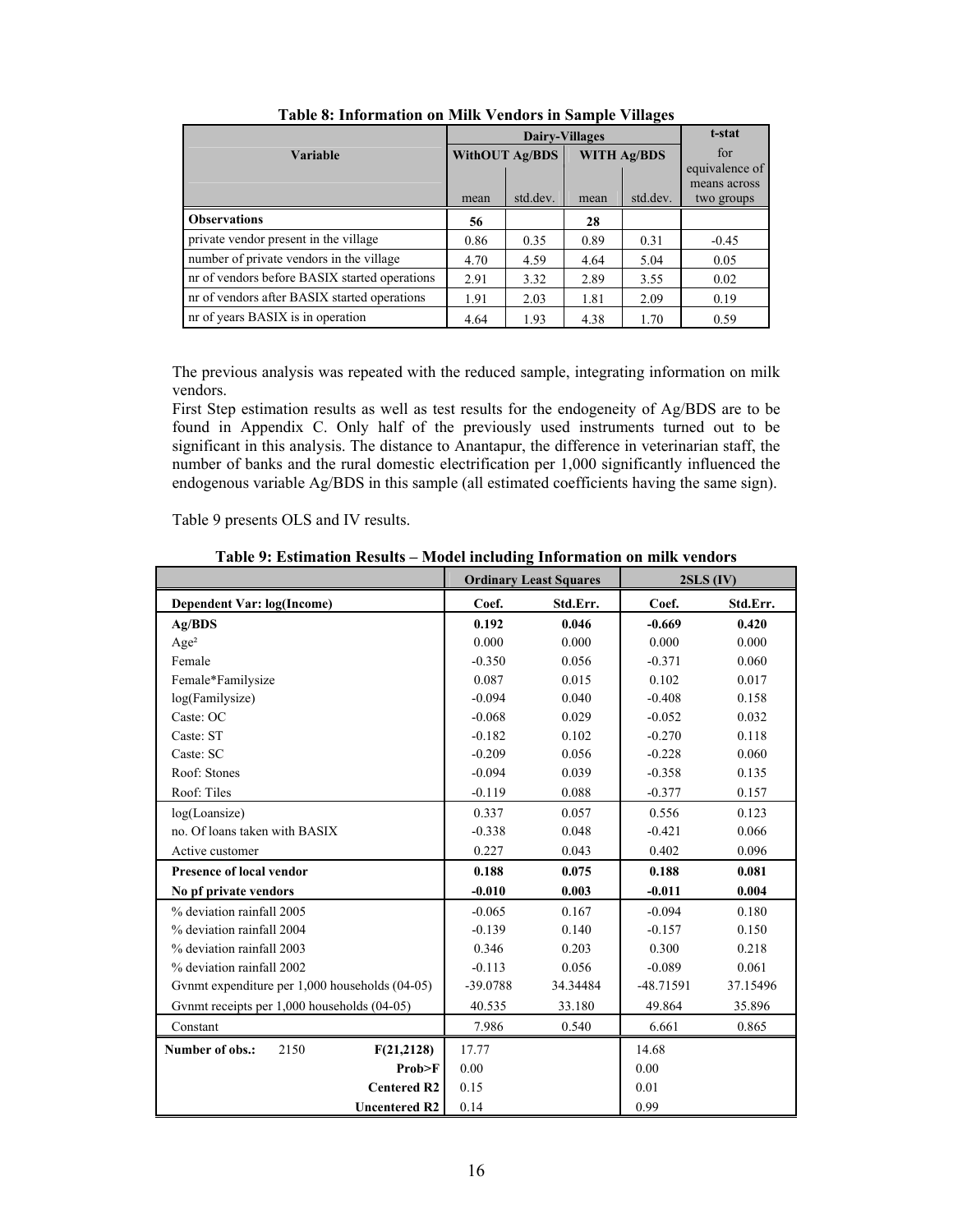|                                               | <b>Dairy-Villages</b> |          |                    |          | t-stat         |
|-----------------------------------------------|-----------------------|----------|--------------------|----------|----------------|
| <b>Variable</b>                               | <b>WithOUT Ag/BDS</b> |          | <b>WITH Ag/BDS</b> |          | for            |
|                                               |                       |          |                    |          | equivalence of |
|                                               |                       |          |                    |          | means across   |
|                                               | mean                  | std.dev. | mean               | std.dev. | two groups     |
| <b>Observations</b>                           | 56                    |          | 28                 |          |                |
| private vendor present in the village         | 0.86                  | 0.35     | 0.89               | 0.31     | $-0.45$        |
| number of private vendors in the village      | 4.70                  | 4.59     | 4.64               | 5.04     | 0.05           |
| nr of vendors before BASIX started operations | 2.91                  | 3.32     | 2.89               | 3.55     | 0.02           |
| nr of vendors after BASIX started operations  | 1.91                  | 2.03     | 1.81               | 2.09     | 0.19           |
| nr of years BASIX is in operation             | 4.64                  | 1.93     | 4.38               | 1.70     | 0.59           |

**Table 8: Information on Milk Vendors in Sample Villages** 

The previous analysis was repeated with the reduced sample, integrating information on milk vendors.

First Step estimation results as well as test results for the endogeneity of Ag/BDS are to be found in Appendix C. Only half of the previously used instruments turned out to be significant in this analysis. The distance to Anantapur, the difference in veterinarian staff, the number of banks and the rural domestic electrification per 1,000 significantly influenced the endogenous variable Ag/BDS in this sample (all estimated coefficients having the same sign).

Table 9 presents OLS and IV results.

**Table 9: Estimation Results – Model including Information on milk vendors** 

|                                                | <b>Ordinary Least Squares</b> |          | $2SLS$ (IV) |          |
|------------------------------------------------|-------------------------------|----------|-------------|----------|
| Dependent Var: log(Income)                     | Coef.                         | Std.Err. | Coef.       | Std.Err. |
| Ag/BDS                                         | 0.192                         | 0.046    | $-0.669$    | 0.420    |
| Age <sup>2</sup>                               | 0.000                         | 0.000    | 0.000       | 0.000    |
| Female                                         | $-0.350$                      | 0.056    | $-0.371$    | 0.060    |
| Female*Familysize                              | 0.087                         | 0.015    | 0.102       | 0.017    |
| log(Familysize)                                | $-0.094$                      | 0.040    | $-0.408$    | 0.158    |
| Caste: OC                                      | $-0.068$                      | 0.029    | $-0.052$    | 0.032    |
| Caste: ST                                      | $-0.182$                      | 0.102    | $-0.270$    | 0.118    |
| Caste: SC                                      | $-0.209$                      | 0.056    | $-0.228$    | 0.060    |
| Roof: Stones                                   | $-0.094$                      | 0.039    | $-0.358$    | 0.135    |
| Roof: Tiles                                    | $-0.119$                      | 0.088    | $-0.377$    | 0.157    |
| log(Loansize)                                  | 0.337                         | 0.057    | 0.556       | 0.123    |
| no. Of loans taken with BASIX                  | $-0.338$                      | 0.048    | $-0.421$    | 0.066    |
| Active customer                                | 0.227                         | 0.043    | 0.402       | 0.096    |
| <b>Presence of local vendor</b>                | 0.188                         | 0.075    | 0.188       | 0.081    |
| No pf private vendors                          | $-0.010$                      | 0.003    | $-0.011$    | 0.004    |
| % deviation rainfall 2005                      | $-0.065$                      | 0.167    | $-0.094$    | 0.180    |
| % deviation rainfall 2004                      | $-0.139$                      | 0.140    | $-0.157$    | 0.150    |
| % deviation rainfall 2003                      | 0.346                         | 0.203    | 0.300       | 0.218    |
| % deviation rainfall 2002                      | $-0.113$                      | 0.056    | $-0.089$    | 0.061    |
| Gynmt expenditure per 1,000 households (04-05) | -39.0788                      | 34.34484 | -48.71591   | 37.15496 |
| Gynmt receipts per 1,000 households (04-05)    | 40.535                        | 33.180   | 49.864      | 35.896   |
| Constant                                       | 7.986                         | 0.540    | 6.661       | 0.865    |
| Number of obs.:<br>2150<br>F(21,2128)          | 17.77                         |          | 14.68       |          |
| Prob>F                                         | 0.00                          |          | 0.00        |          |
| <b>Centered R2</b>                             | 0.15                          |          | 0.01        |          |
| <b>Uncentered R2</b>                           | 0.14                          |          | 0.99        |          |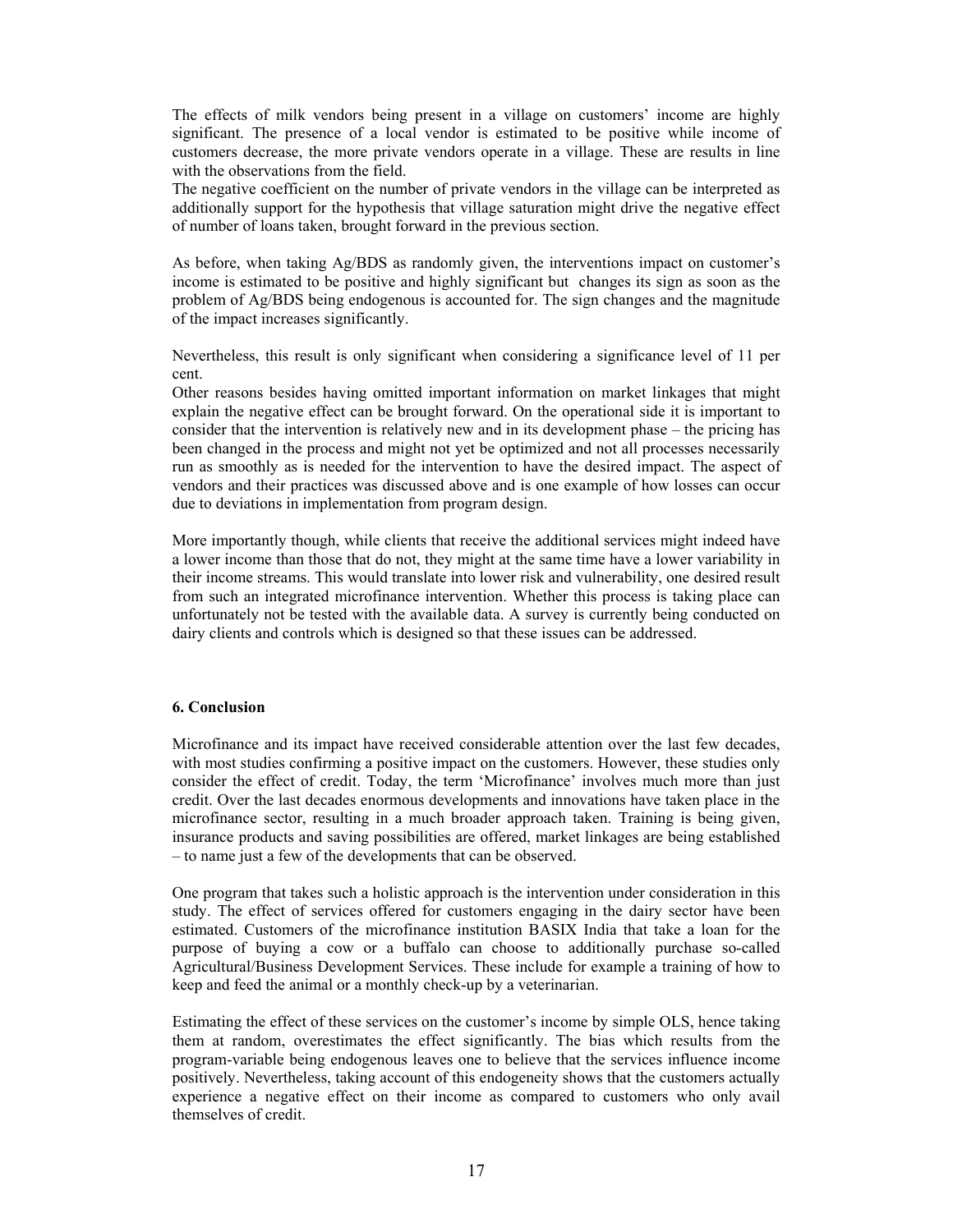The effects of milk vendors being present in a village on customers' income are highly significant. The presence of a local vendor is estimated to be positive while income of customers decrease, the more private vendors operate in a village. These are results in line with the observations from the field.

The negative coefficient on the number of private vendors in the village can be interpreted as additionally support for the hypothesis that village saturation might drive the negative effect of number of loans taken, brought forward in the previous section.

As before, when taking Ag/BDS as randomly given, the interventions impact on customer's income is estimated to be positive and highly significant but changes its sign as soon as the problem of Ag/BDS being endogenous is accounted for. The sign changes and the magnitude of the impact increases significantly.

Nevertheless, this result is only significant when considering a significance level of 11 per cent.

Other reasons besides having omitted important information on market linkages that might explain the negative effect can be brought forward. On the operational side it is important to consider that the intervention is relatively new and in its development phase – the pricing has been changed in the process and might not yet be optimized and not all processes necessarily run as smoothly as is needed for the intervention to have the desired impact. The aspect of vendors and their practices was discussed above and is one example of how losses can occur due to deviations in implementation from program design.

More importantly though, while clients that receive the additional services might indeed have a lower income than those that do not, they might at the same time have a lower variability in their income streams. This would translate into lower risk and vulnerability, one desired result from such an integrated microfinance intervention. Whether this process is taking place can unfortunately not be tested with the available data. A survey is currently being conducted on dairy clients and controls which is designed so that these issues can be addressed.

## **6. Conclusion**

Microfinance and its impact have received considerable attention over the last few decades, with most studies confirming a positive impact on the customers. However, these studies only consider the effect of credit. Today, the term 'Microfinance' involves much more than just credit. Over the last decades enormous developments and innovations have taken place in the microfinance sector, resulting in a much broader approach taken. Training is being given, insurance products and saving possibilities are offered, market linkages are being established – to name just a few of the developments that can be observed.

One program that takes such a holistic approach is the intervention under consideration in this study. The effect of services offered for customers engaging in the dairy sector have been estimated. Customers of the microfinance institution BASIX India that take a loan for the purpose of buying a cow or a buffalo can choose to additionally purchase so-called Agricultural/Business Development Services. These include for example a training of how to keep and feed the animal or a monthly check-up by a veterinarian.

Estimating the effect of these services on the customer's income by simple OLS, hence taking them at random, overestimates the effect significantly. The bias which results from the program-variable being endogenous leaves one to believe that the services influence income positively. Nevertheless, taking account of this endogeneity shows that the customers actually experience a negative effect on their income as compared to customers who only avail themselves of credit.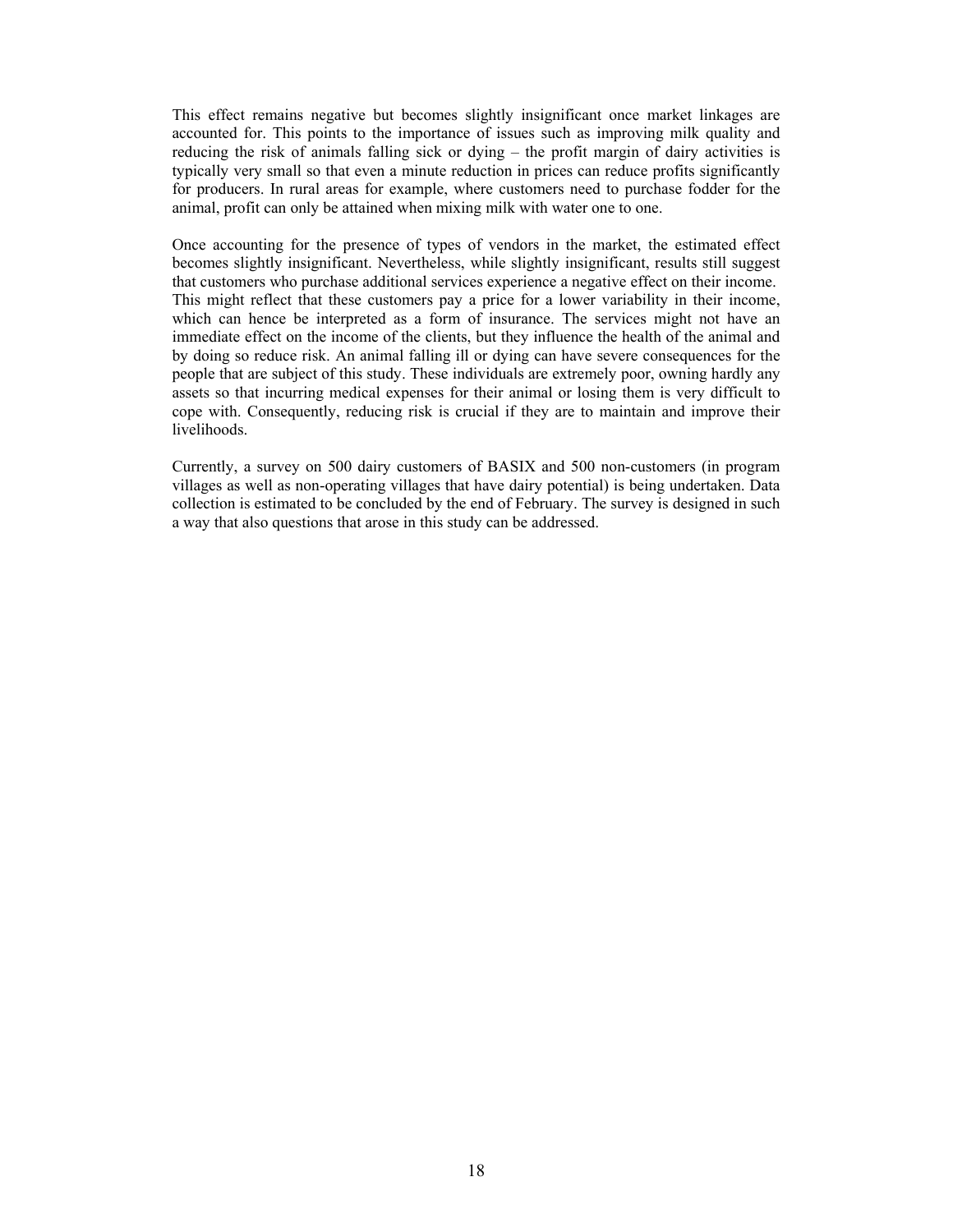This effect remains negative but becomes slightly insignificant once market linkages are accounted for. This points to the importance of issues such as improving milk quality and reducing the risk of animals falling sick or dying – the profit margin of dairy activities is typically very small so that even a minute reduction in prices can reduce profits significantly for producers. In rural areas for example, where customers need to purchase fodder for the animal, profit can only be attained when mixing milk with water one to one.

Once accounting for the presence of types of vendors in the market, the estimated effect becomes slightly insignificant. Nevertheless, while slightly insignificant, results still suggest that customers who purchase additional services experience a negative effect on their income. This might reflect that these customers pay a price for a lower variability in their income, which can hence be interpreted as a form of insurance. The services might not have an immediate effect on the income of the clients, but they influence the health of the animal and by doing so reduce risk. An animal falling ill or dying can have severe consequences for the people that are subject of this study. These individuals are extremely poor, owning hardly any assets so that incurring medical expenses for their animal or losing them is very difficult to cope with. Consequently, reducing risk is crucial if they are to maintain and improve their livelihoods.

Currently, a survey on 500 dairy customers of BASIX and 500 non-customers (in program villages as well as non-operating villages that have dairy potential) is being undertaken. Data collection is estimated to be concluded by the end of February. The survey is designed in such a way that also questions that arose in this study can be addressed.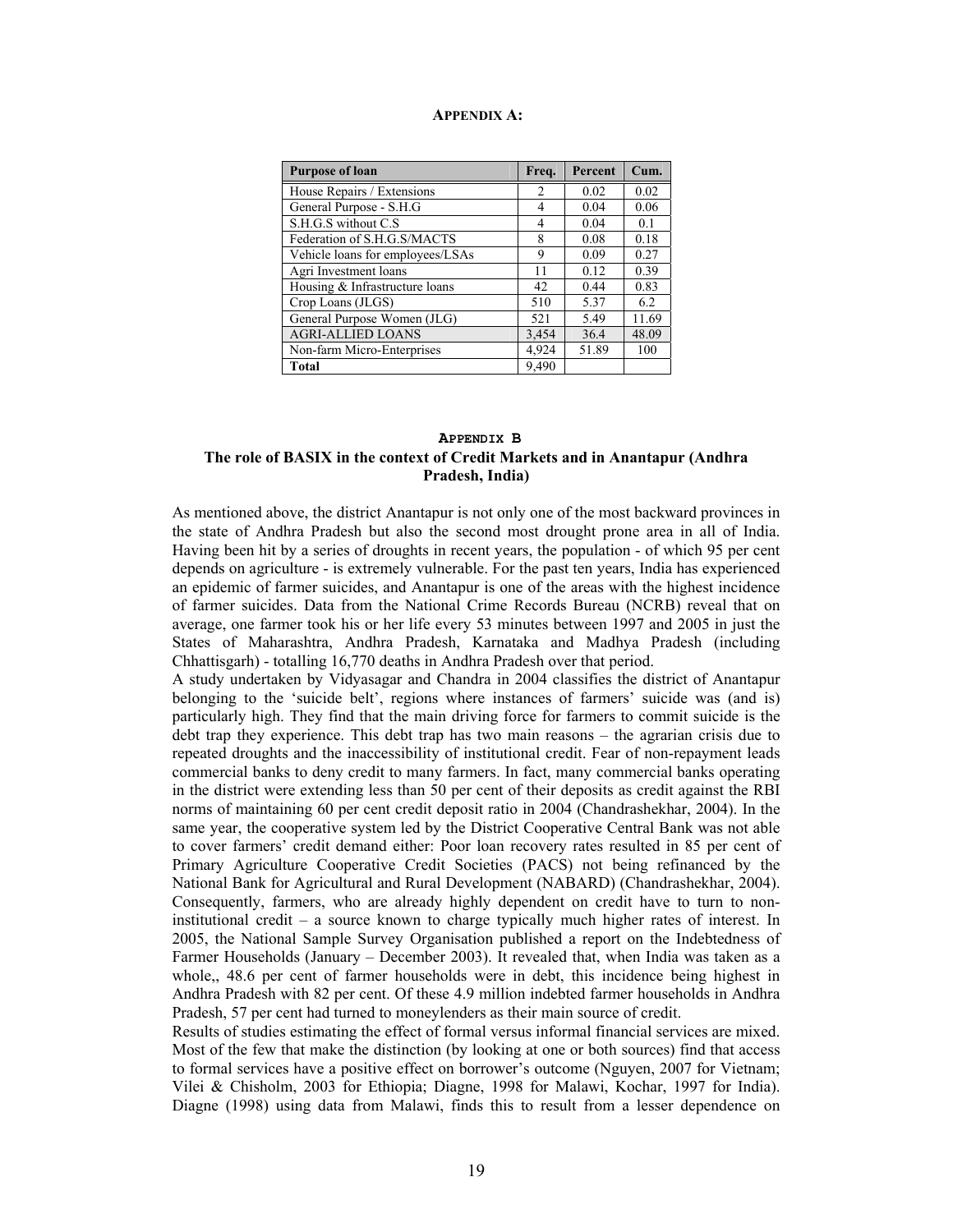#### **APPENDIX A:**

| <b>Purpose of loan</b>           | Freq. | Percent | Cum.  |
|----------------------------------|-------|---------|-------|
| House Repairs / Extensions       | 2     | 0.02    | 0.02  |
| General Purpose - S.H.G          | 4     | 0.04    | 0.06  |
| S.H.G.S without C.S.             | 4     | 0.04    | 0.1   |
| Federation of S.H.G.S/MACTS      | 8     | 0.08    | 0.18  |
| Vehicle loans for employees/LSAs | 9     | 0.09    | 0.27  |
| Agri Investment loans            | 11    | 0.12    | 0.39  |
| Housing & Infrastructure loans   | 42    | 0.44    | 0.83  |
| Crop Loans (JLGS)                | 510   | 5.37    | 6.2   |
| General Purpose Women (JLG)      | 521   | 5.49    | 11.69 |
| <b>AGRI-ALLIED LOANS</b>         | 3,454 | 36.4    | 48.09 |
| Non-farm Micro-Enterprises       | 4,924 | 51.89   | 100   |
| <b>Total</b>                     | 9.490 |         |       |

## **APPENDIX B The role of BASIX in the context of Credit Markets and in Anantapur (Andhra Pradesh, India)**

As mentioned above, the district Anantapur is not only one of the most backward provinces in the state of Andhra Pradesh but also the second most drought prone area in all of India. Having been hit by a series of droughts in recent years, the population - of which 95 per cent depends on agriculture - is extremely vulnerable. For the past ten years, India has experienced an epidemic of farmer suicides, and Anantapur is one of the areas with the highest incidence of farmer suicides. Data from the National Crime Records Bureau (NCRB) reveal that on average, one farmer took his or her life every 53 minutes between 1997 and 2005 in just the States of Maharashtra, Andhra Pradesh, Karnataka and Madhya Pradesh (including Chhattisgarh) - totalling 16,770 deaths in Andhra Pradesh over that period.

A study undertaken by Vidyasagar and Chandra in 2004 classifies the district of Anantapur belonging to the 'suicide belt', regions where instances of farmers' suicide was (and is) particularly high. They find that the main driving force for farmers to commit suicide is the debt trap they experience. This debt trap has two main reasons – the agrarian crisis due to repeated droughts and the inaccessibility of institutional credit. Fear of non-repayment leads commercial banks to deny credit to many farmers. In fact, many commercial banks operating in the district were extending less than 50 per cent of their deposits as credit against the RBI norms of maintaining 60 per cent credit deposit ratio in 2004 (Chandrashekhar, 2004). In the same year, the cooperative system led by the District Cooperative Central Bank was not able to cover farmers' credit demand either: Poor loan recovery rates resulted in 85 per cent of Primary Agriculture Cooperative Credit Societies (PACS) not being refinanced by the National Bank for Agricultural and Rural Development (NABARD) (Chandrashekhar, 2004). Consequently, farmers, who are already highly dependent on credit have to turn to noninstitutional credit – a source known to charge typically much higher rates of interest. In 2005, the National Sample Survey Organisation published a report on the Indebtedness of Farmer Households (January – December 2003). It revealed that, when India was taken as a whole,, 48.6 per cent of farmer households were in debt, this incidence being highest in Andhra Pradesh with 82 per cent. Of these 4.9 million indebted farmer households in Andhra Pradesh, 57 per cent had turned to moneylenders as their main source of credit.

Results of studies estimating the effect of formal versus informal financial services are mixed. Most of the few that make the distinction (by looking at one or both sources) find that access to formal services have a positive effect on borrower's outcome (Nguyen, 2007 for Vietnam; Vilei & Chisholm, 2003 for Ethiopia; Diagne, 1998 for Malawi, Kochar, 1997 for India). Diagne (1998) using data from Malawi, finds this to result from a lesser dependence on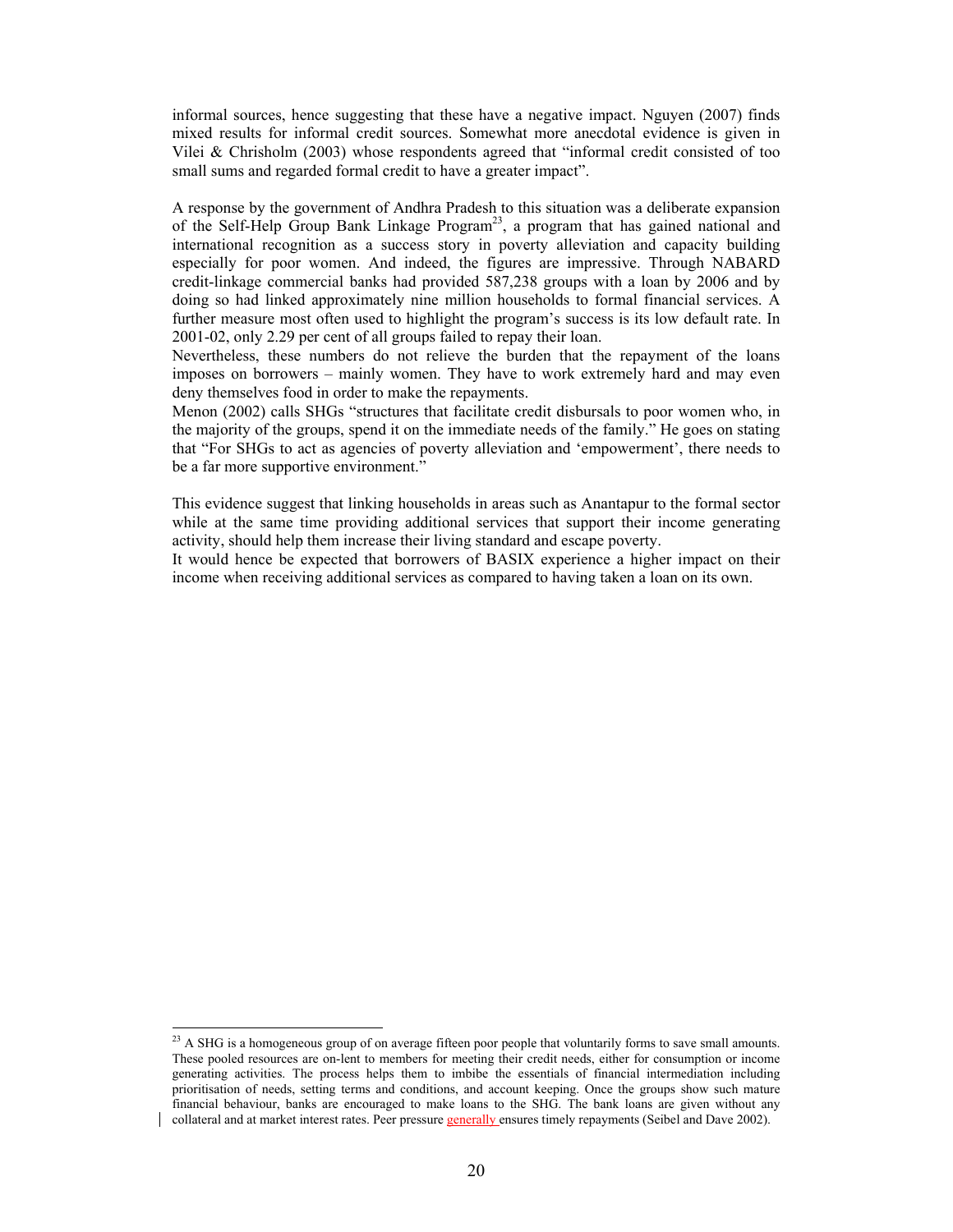informal sources, hence suggesting that these have a negative impact. Nguyen (2007) finds mixed results for informal credit sources. Somewhat more anecdotal evidence is given in Vilei & Chrisholm (2003) whose respondents agreed that "informal credit consisted of too small sums and regarded formal credit to have a greater impact".

A response by the government of Andhra Pradesh to this situation was a deliberate expansion of the Self-Help Group Bank Linkage Program<sup>23</sup>, a program that has gained national and international recognition as a success story in poverty alleviation and capacity building especially for poor women. And indeed, the figures are impressive. Through NABARD credit-linkage commercial banks had provided 587,238 groups with a loan by 2006 and by doing so had linked approximately nine million households to formal financial services. A further measure most often used to highlight the program's success is its low default rate. In 2001-02, only 2.29 per cent of all groups failed to repay their loan.

Nevertheless, these numbers do not relieve the burden that the repayment of the loans imposes on borrowers – mainly women. They have to work extremely hard and may even deny themselves food in order to make the repayments.

Menon (2002) calls SHGs "structures that facilitate credit disbursals to poor women who, in the majority of the groups, spend it on the immediate needs of the family." He goes on stating that "For SHGs to act as agencies of poverty alleviation and 'empowerment', there needs to be a far more supportive environment."

This evidence suggest that linking households in areas such as Anantapur to the formal sector while at the same time providing additional services that support their income generating activity, should help them increase their living standard and escape poverty.

It would hence be expected that borrowers of BASIX experience a higher impact on their income when receiving additional services as compared to having taken a loan on its own.

 $\overline{a}$ 

 $^{23}$  A SHG is a homogeneous group of on average fifteen poor people that voluntarily forms to save small amounts. These pooled resources are on-lent to members for meeting their credit needs, either for consumption or income generating activities. The process helps them to imbibe the essentials of financial intermediation including prioritisation of needs, setting terms and conditions, and account keeping. Once the groups show such mature financial behaviour, banks are encouraged to make loans to the SHG. The bank loans are given without any collateral and at market interest rates. Peer pressure generally ensures timely repayments (Seibel and Dave 2002).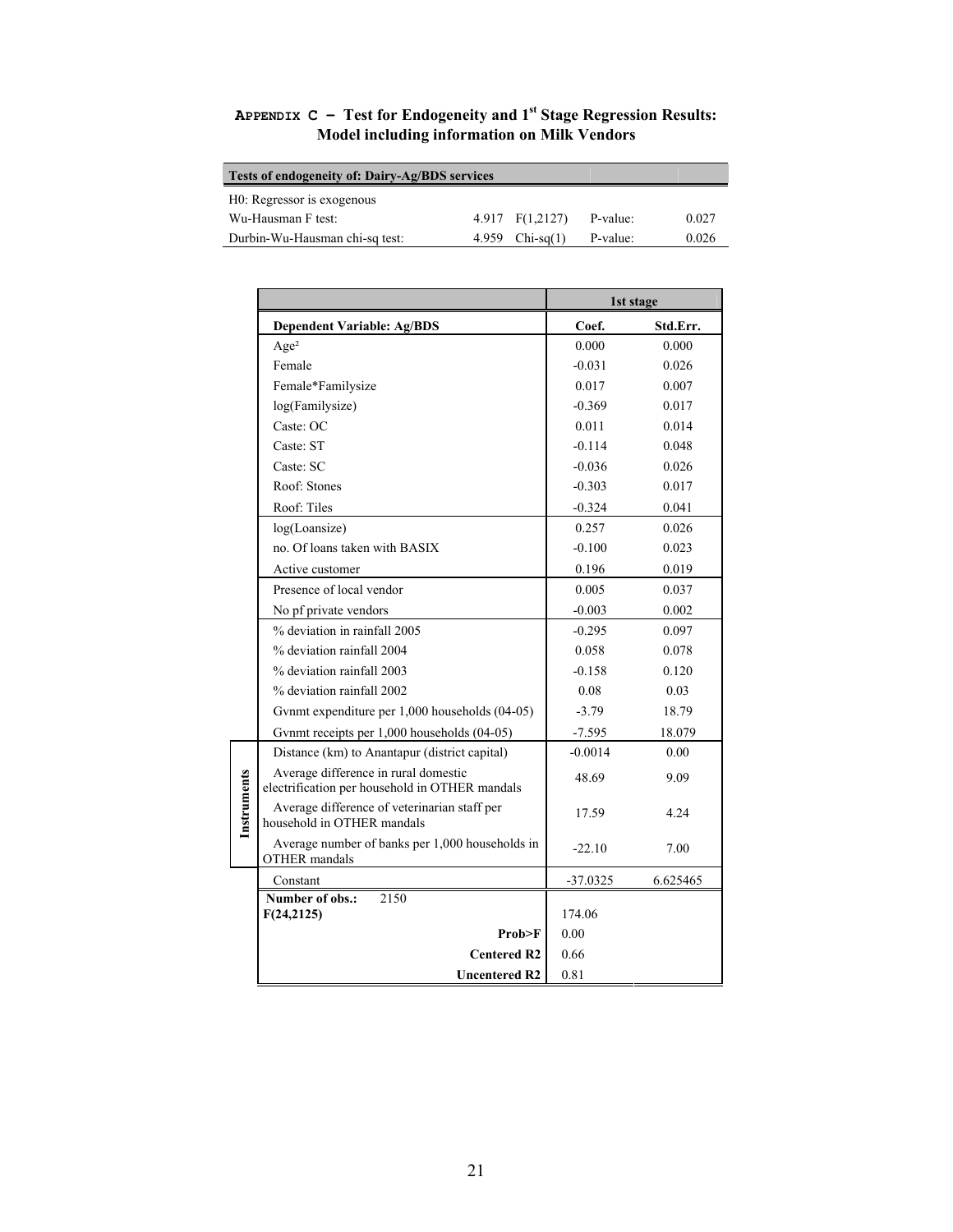| Tests of endogeneity of: Dairy-Ag/BDS services |  |                   |          |       |  |
|------------------------------------------------|--|-------------------|----------|-------|--|
| H0: Regressor is exogenous                     |  |                   |          |       |  |
| Wu-Hausman F test:                             |  | $4.917$ F(1,2127) | P-value: | 0.027 |  |
| Durbin-Wu-Hausman chi-sq test:                 |  | 4.959 $Chi-sq(1)$ | P-value: | 0.026 |  |

**APPENDIX C – Test for Endogeneity and 1st Stage Regression Results: Model including information on Milk Vendors** 

|             |                                                                                        | 1st stage  |          |  |
|-------------|----------------------------------------------------------------------------------------|------------|----------|--|
|             | <b>Dependent Variable: Ag/BDS</b>                                                      | Coef.      | Std.Err. |  |
|             | Age <sup>2</sup>                                                                       | 0.000      | 0.000    |  |
|             | Female                                                                                 | $-0.031$   | 0.026    |  |
|             | Female*Familysize                                                                      | 0.017      | 0.007    |  |
|             | log(Familysize)                                                                        | $-0.369$   | 0.017    |  |
|             | Caste: OC                                                                              | 0.011      | 0.014    |  |
|             | Caste: ST                                                                              | $-0.114$   | 0.048    |  |
|             | Caste: SC                                                                              | $-0.036$   | 0.026    |  |
|             | Roof: Stones                                                                           | $-0.303$   | 0.017    |  |
|             | Roof: Tiles                                                                            | $-0.324$   | 0.041    |  |
|             | log(L)                                                                                 | 0.257      | 0.026    |  |
|             | no. Of loans taken with BASIX                                                          | $-0.100$   | 0.023    |  |
|             | Active customer                                                                        | 0.196      | 0.019    |  |
|             | Presence of local vendor                                                               | 0.005      | 0.037    |  |
|             | No pf private vendors                                                                  | $-0.003$   | 0.002    |  |
|             | % deviation in rainfall 2005                                                           | $-0.295$   | 0.097    |  |
|             | % deviation rainfall 2004                                                              | 0.058      | 0.078    |  |
|             | % deviation rainfall 2003                                                              | $-0.158$   | 0.120    |  |
|             | % deviation rainfall 2002                                                              | 0.08       | 0.03     |  |
|             | Gynmt expenditure per 1,000 households (04-05)                                         | $-3.79$    | 18.79    |  |
|             | Gynmt receipts per 1,000 households (04-05)                                            | $-7.595$   | 18.079   |  |
|             | Distance (km) to Anantapur (district capital)                                          | $-0.0014$  | 0.00     |  |
| Instruments | Average difference in rural domestic<br>electrification per household in OTHER mandals | 48.69      | 9.09     |  |
|             | Average difference of veterinarian staff per<br>household in OTHER mandals             | 17.59      | 4.24     |  |
|             | Average number of banks per 1,000 households in<br><b>OTHER</b> mandals                | $-22.10$   | 7.00     |  |
|             | Constant                                                                               | $-37.0325$ | 6.625465 |  |
|             | Number of obs.:<br>2150                                                                |            |          |  |
|             | F(24,2125)                                                                             | 174.06     |          |  |
|             | Prob>F                                                                                 | 0.00       |          |  |
|             | <b>Centered R2</b>                                                                     | 0.66       |          |  |
|             | <b>Uncentered R2</b>                                                                   | 0.81       |          |  |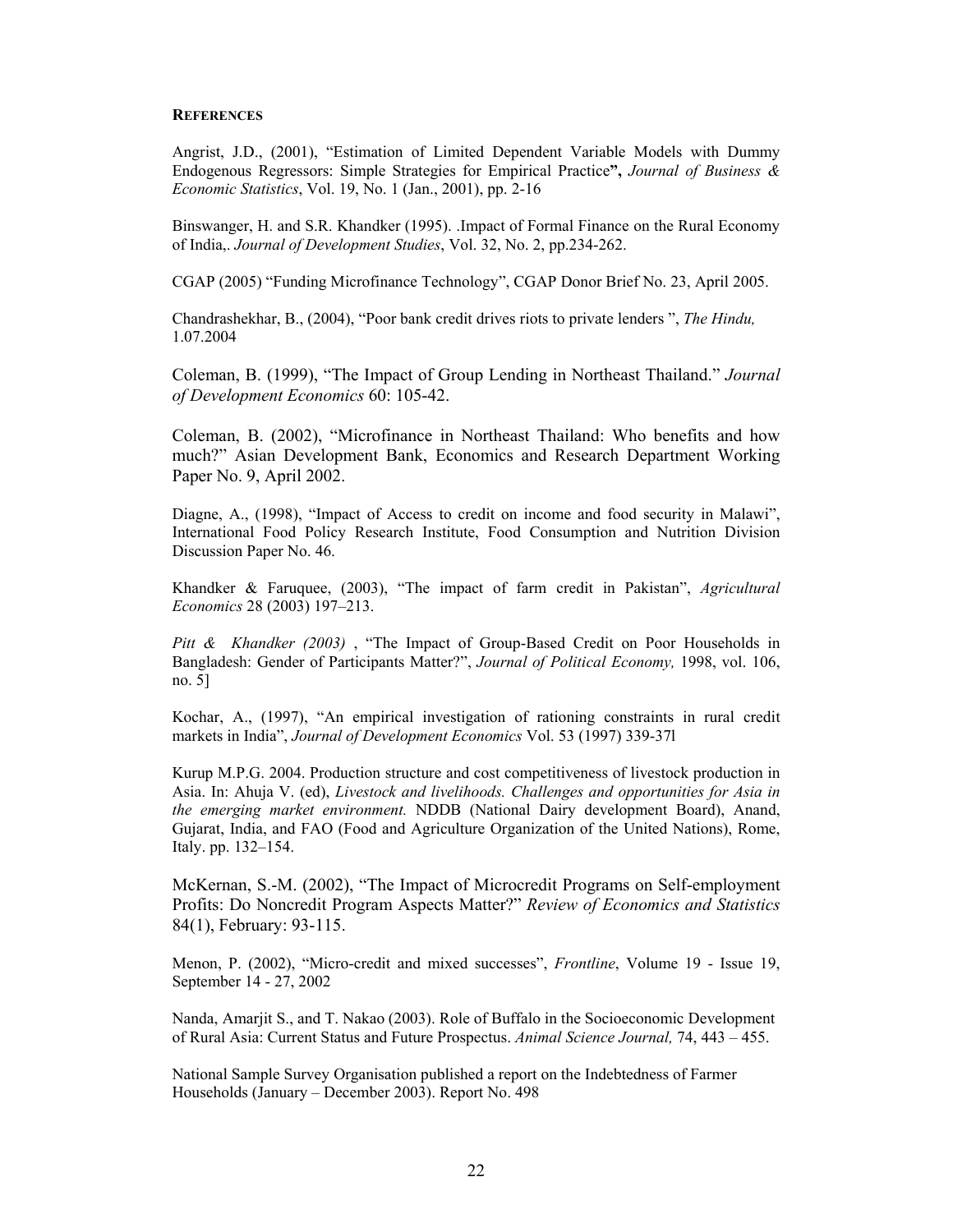#### **REFERENCES**

Angrist, J.D., (2001), "Estimation of Limited Dependent Variable Models with Dummy Endogenous Regressors: Simple Strategies for Empirical Practice**",** *Journal of Business & Economic Statistics*, Vol. 19, No. 1 (Jan., 2001), pp. 2-16

Binswanger, H. and S.R. Khandker (1995). .Impact of Formal Finance on the Rural Economy of India,. *Journal of Development Studies*, Vol. 32, No. 2, pp.234-262.

CGAP (2005) "Funding Microfinance Technology", CGAP Donor Brief No. 23, April 2005.

Chandrashekhar, B., (2004), "Poor bank credit drives riots to private lenders ", *The Hindu,*  1.07.2004

Coleman, B. (1999), "The Impact of Group Lending in Northeast Thailand." *Journal of Development Economics* 60: 105-42.

Coleman, B. (2002), "Microfinance in Northeast Thailand: Who benefits and how much?" Asian Development Bank, Economics and Research Department Working Paper No. 9, April 2002.

Diagne, A., (1998), "Impact of Access to credit on income and food security in Malawi", International Food Policy Research Institute, Food Consumption and Nutrition Division Discussion Paper No. 46.

Khandker & Faruquee, (2003), "The impact of farm credit in Pakistan", *Agricultural Economics* 28 (2003) 197–213.

*Pitt & Khandker (2003)* , "The Impact of Group-Based Credit on Poor Households in Bangladesh: Gender of Participants Matter?", *Journal of Political Economy,* 1998, vol. 106, no. 5]

Kochar, A., (1997), "An empirical investigation of rationing constraints in rural credit markets in India", *Journal of Development Economics* Vol. 53 (1997) 339-37l

Kurup M.P.G. 2004. Production structure and cost competitiveness of livestock production in Asia. In: Ahuja V. (ed), *Livestock and livelihoods. Challenges and opportunities for Asia in the emerging market environment.* NDDB (National Dairy development Board), Anand, Gujarat, India, and FAO (Food and Agriculture Organization of the United Nations), Rome, Italy. pp. 132–154.

McKernan, S.-M. (2002), "The Impact of Microcredit Programs on Self-employment Profits: Do Noncredit Program Aspects Matter?" *Review of Economics and Statistics* 84(1), February: 93-115.

Menon, P. (2002), "Micro-credit and mixed successes", *Frontline*, Volume 19 - Issue 19, September 14 - 27, 2002

Nanda, Amarjit S., and T. Nakao (2003). Role of Buffalo in the Socioeconomic Development of Rural Asia: Current Status and Future Prospectus. *Animal Science Journal,* 74, 443 – 455.

National Sample Survey Organisation published a report on the Indebtedness of Farmer Households (January – December 2003). Report No. 498